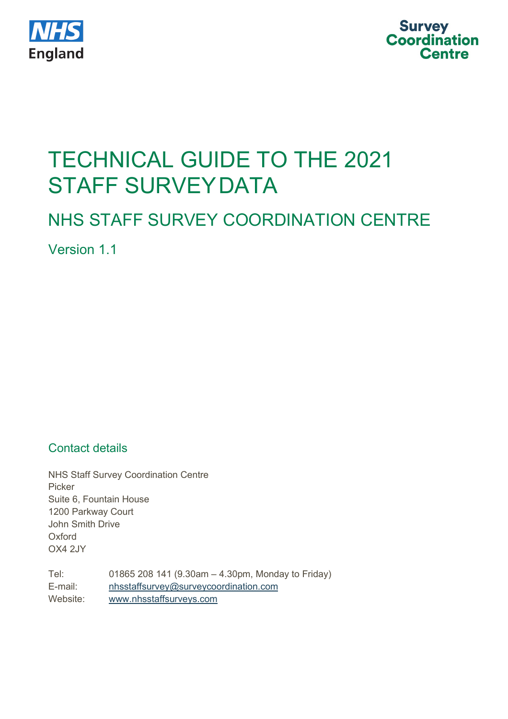



# TECHNICAL GUIDE TO THE 2021 STAFF SURVEYDATA

## NHS STAFF SURVEY COORDINATION CENTRE

Version 1<sub>1</sub>

## Contact details

NHS Staff Survey Coordination Centre Picker Suite 6, Fountain House 1200 Parkway Court John Smith Drive **Oxford** OX4 2JY

Tel: 01865 208 141 (9.30am – 4.30pm, Monday to Friday) E-mail: [nhsstaffsurvey@surveycoordination.com](mailto:nhsstaffsurvey@surveycoordination.com) Website: [www.nhsstaffsurveys.com](http://www.nhsstaffsurveys.com/)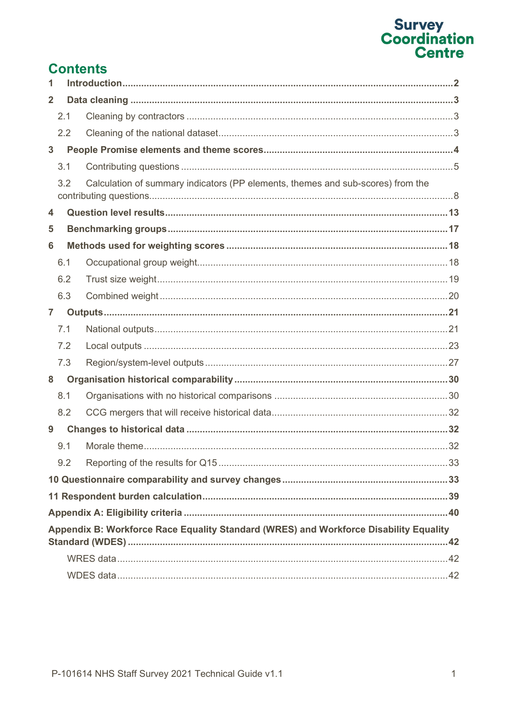## **Contents**

| 1            |                                                                                       |                                                                                 |  |  |  |  |
|--------------|---------------------------------------------------------------------------------------|---------------------------------------------------------------------------------|--|--|--|--|
| $\mathbf{2}$ |                                                                                       |                                                                                 |  |  |  |  |
|              | 2.1                                                                                   |                                                                                 |  |  |  |  |
|              | 2.2                                                                                   |                                                                                 |  |  |  |  |
| $\mathbf{3}$ |                                                                                       |                                                                                 |  |  |  |  |
|              | 3.1                                                                                   |                                                                                 |  |  |  |  |
|              | 3.2                                                                                   | Calculation of summary indicators (PP elements, themes and sub-scores) from the |  |  |  |  |
| 4            |                                                                                       |                                                                                 |  |  |  |  |
| 5            |                                                                                       |                                                                                 |  |  |  |  |
| 6            |                                                                                       |                                                                                 |  |  |  |  |
|              | 6.1                                                                                   |                                                                                 |  |  |  |  |
|              | 6.2                                                                                   |                                                                                 |  |  |  |  |
|              | 6.3                                                                                   |                                                                                 |  |  |  |  |
|              | $\overline{7}$                                                                        |                                                                                 |  |  |  |  |
|              | 7.1                                                                                   |                                                                                 |  |  |  |  |
|              | 7.2                                                                                   |                                                                                 |  |  |  |  |
|              | 7.3                                                                                   |                                                                                 |  |  |  |  |
| 8            |                                                                                       |                                                                                 |  |  |  |  |
|              | 8.1                                                                                   |                                                                                 |  |  |  |  |
|              | 8.2                                                                                   |                                                                                 |  |  |  |  |
| 9            |                                                                                       |                                                                                 |  |  |  |  |
|              | 9.1                                                                                   |                                                                                 |  |  |  |  |
|              |                                                                                       |                                                                                 |  |  |  |  |
|              |                                                                                       |                                                                                 |  |  |  |  |
|              |                                                                                       |                                                                                 |  |  |  |  |
|              |                                                                                       |                                                                                 |  |  |  |  |
|              | Appendix B: Workforce Race Equality Standard (WRES) and Workforce Disability Equality |                                                                                 |  |  |  |  |
|              |                                                                                       |                                                                                 |  |  |  |  |
|              |                                                                                       |                                                                                 |  |  |  |  |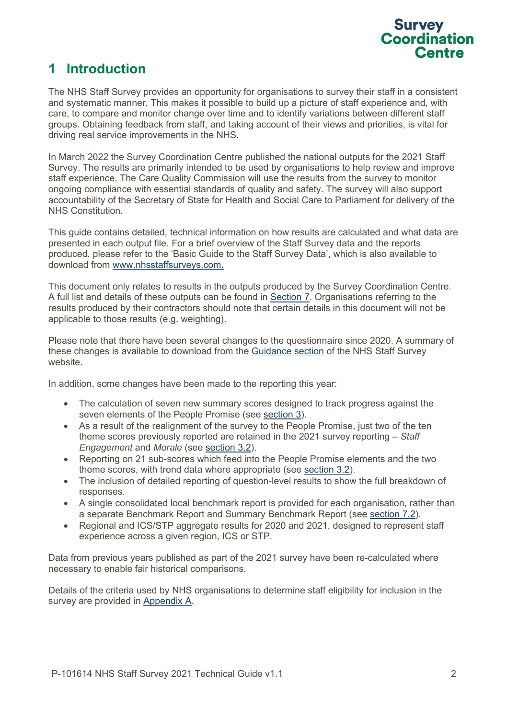

## <span id="page-2-0"></span>**1 Introduction**

The NHS Staff Survey provides an opportunity for organisations to survey their staff in a consistent and systematic manner. This makes it possible to build up a picture of staff experience and, with care, to compare and monitor change over time and to identify variations between different staff groups. Obtaining feedback from staff, and taking account of their views and priorities, is vital for driving real service improvements in the NHS.

In March 2022 the Survey Coordination Centre published the national outputs for the 2021 Staff Survey. The results are primarily intended to be used by organisations to help review and improve staff experience. The Care Quality Commission will use the results from the survey to monitor ongoing compliance with essential standards of quality and safety. The survey will also support accountability of the Secretary of State for Health and Social Care to Parliament for delivery of the NHS Constitution.

This guide contains detailed, technical information on how results are calculated and what data are presented in each output file. For a brief overview of the Staff Survey data and the reports produced, please refer to the 'Basic Guide to the Staff Survey Data', which is also available to download from [www.nhsstaffsurveys.com.](https://www.nhsstaffsurveys.com/)

This document only relates to results in the outputs produced by the Survey Coordination Centre. A full list and details of these outputs can be found in [Section 7.](#page-21-0) Organisations referring to the results produced by their contractors should note that certain details in this document will not be applicable to those results (e.g. weighting).

Please note that there have been several changes to the questionnaire since 2020. A summary of these changes is available to download from the [Guidance section](https://www.nhsstaffsurveys.com/survey-documents/) of the NHS Staff Survey website.

In addition, some changes have been made to the reporting this year:

- The calculation of seven new summary scores designed to track progress against the seven elements of the People Promise (see [section 3\)](#page-4-0).
- As a result of the realignment of the survey to the People Promise, just two of the ten theme scores previously reported are retained in the 2021 survey reporting – *Staff Engagement* and *Morale* (see [section 3.2\)](#page-8-0).
- Reporting on 21 sub-scores which feed into the People Promise elements and the two theme scores, with trend data where appropriate (see [section 3.2\)](#page-8-0).
- The inclusion of detailed reporting of question-level results to show the full breakdown of responses.
- A single consolidated local benchmark report is provided for each organisation, rather than a separate Benchmark Report and Summary Benchmark Report (see [section 7.2\)](#page-23-0).
- Regional and ICS/STP aggregate results for 2020 and 2021, designed to represent staff experience across a given region, ICS or STP.

Data from previous years published as part of the 2021 survey have been re-calculated where necessary to enable fair historical comparisons.

Details of the criteria used by NHS organisations to determine staff eligibility for inclusion in the survey are provided in [Appendix A.](#page-40-0)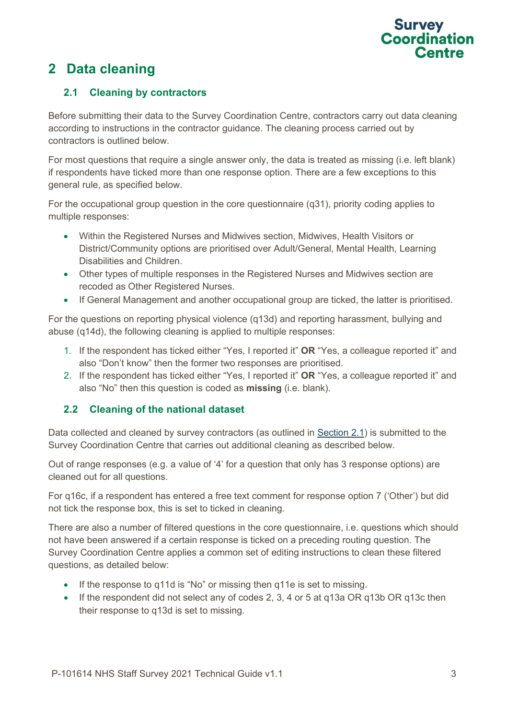

## <span id="page-3-3"></span><span id="page-3-0"></span>**2 Data cleaning**

## <span id="page-3-1"></span>**2.1 Cleaning by contractors**

Before submitting their data to the Survey Coordination Centre, contractors carry out data cleaning according to instructions in the contractor guidance. The cleaning process carried out by contractors is outlined below.

For most questions that require a single answer only, the data is treated as missing (i.e. left blank) if respondents have ticked more than one response option. There are a few exceptions to this general rule, as specified below.

For the occupational group question in the core questionnaire (q31), priority coding applies to multiple responses:

- Within the Registered Nurses and Midwives section, Midwives, Health Visitors or District/Community options are prioritised over Adult/General, Mental Health, Learning Disabilities and Children.
- Other types of multiple responses in the Registered Nurses and Midwives section are recoded as Other Registered Nurses.
- If General Management and another occupational group are ticked, the latter is prioritised.

For the questions on reporting physical violence (q13d) and reporting harassment, bullying and abuse (q14d), the following cleaning is applied to multiple responses:

- 1. If the respondent has ticked either "Yes, I reported it" **OR** "Yes, a colleague reported it" and also "Don't know" then the former two responses are prioritised.
- 2. If the respondent has ticked either "Yes, I reported it" **OR** "Yes, a colleague reported it" and also "No" then this question is coded as **missing** (i.e. blank).

## <span id="page-3-2"></span>**2.2 Cleaning of the national dataset**

Data collected and cleaned by survey contractors (as outlined in **Section 2.1**) is submitted to the Survey Coordination Centre that carries out additional cleaning as described below.

Out of range responses (e.g. a value of '4' for a question that only has 3 response options) are cleaned out for all questions.

For q16c, if a respondent has entered a free text comment for response option 7 ('Other') but did not tick the response box, this is set to ticked in cleaning.

There are also a number of filtered questions in the core questionnaire, i.e. questions which should not have been answered if a certain response is ticked on a preceding routing question. The Survey Coordination Centre applies a common set of editing instructions to clean these filtered questions, as detailed below:

- If the response to q11d is "No" or missing then q11e is set to missing.
- If the respondent did not select any of codes 2, 3, 4 or 5 at q13a OR q13b OR q13c then their response to q13d is set to missing.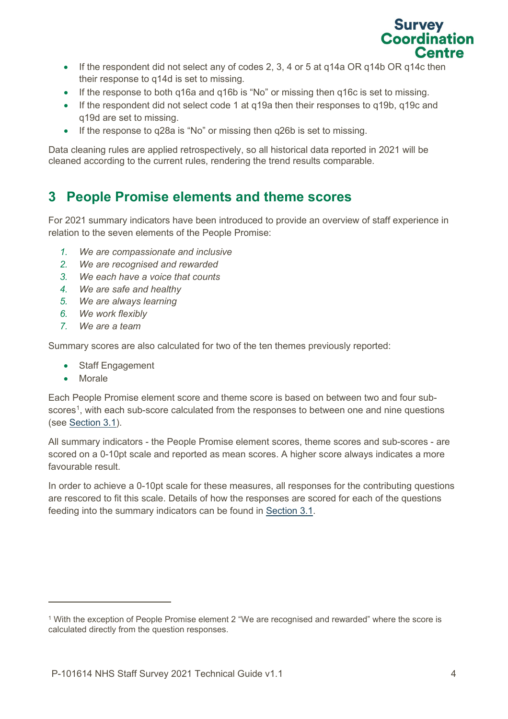

- If the respondent did not select any of codes 2, 3, 4 or 5 at q14a OR q14b OR q14c then their response to q14d is set to missing.
- If the response to both q16a and q16b is "No" or missing then q16c is set to missing.
- If the respondent did not select code 1 at q19a then their responses to q19b, q19c and q19d are set to missing.
- If the response to q28a is "No" or missing then q26b is set to missing.

Data cleaning rules are applied retrospectively, so all historical data reported in 2021 will be cleaned according to the current rules, rendering the trend results comparable.

## <span id="page-4-0"></span>**3 People Promise elements and theme scores**

For 2021 summary indicators have been introduced to provide an overview of staff experience in relation to the seven elements of the People Promise:

- *1. We are compassionate and inclusive*
- *2. We are recognised and rewarded*
- *3. We each have a voice that counts*
- *4. We are safe and healthy*
- *5. We are always learning*
- *6. We work flexibly*
- *7. We are a team*

Summary scores are also calculated for two of the ten themes previously reported:

- Staff Engagement
- Morale

Each People Promise element score and theme score is based on between two and four sub- ${\rm scores^1},$  ${\rm scores^1},$  ${\rm scores^1},$  with each sub-score calculated from the responses to between one and nine questions (see [Section](#page-12-0) 3.1).

All summary indicators - the People Promise element scores, theme scores and sub-scores - are scored on a 0-10pt scale and reported as mean scores. A higher score always indicates a more favourable result.

In order to achieve a 0-10pt scale for these measures, all responses for the contributing questions are rescored to fit this scale. Details of how the responses are scored for each of the questions feeding into the summary indicators can be found in [Section](#page-12-0) 3.1.

<span id="page-4-1"></span><sup>1</sup> With the exception of People Promise element 2 "We are recognised and rewarded" where the score is calculated directly from the question responses.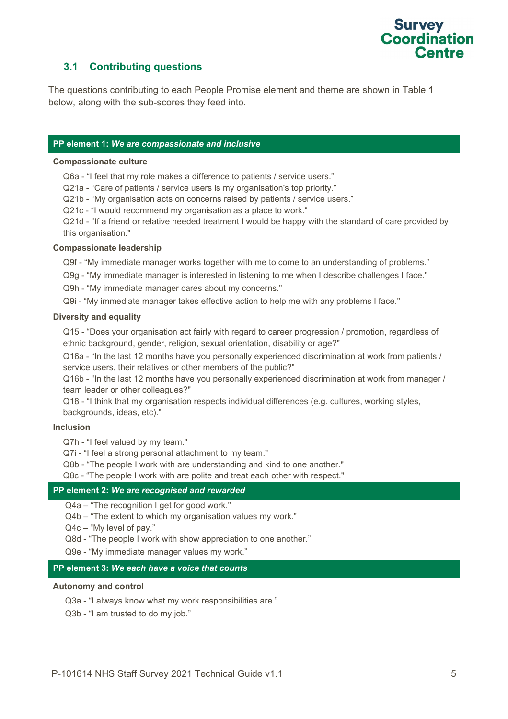

## <span id="page-5-0"></span>**3.1 Contributing questions**

The questions contributing to each People Promise element and theme are shown in Table **1** below, along with the sub-scores they feed into.

### **PP element 1:** *We are compassionate and inclusive*

### **Compassionate culture**

Q6a - "I feel that my role makes a difference to patients / service users."

Q21a - "Care of patients / service users is my organisation's top priority."

Q21b - "My organisation acts on concerns raised by patients / service users."

Q21c - "I would recommend my organisation as a place to work."

Q21d - "If a friend or relative needed treatment I would be happy with the standard of care provided by this organisation."

## **Compassionate leadership**

Q9f - "My immediate manager works together with me to come to an understanding of problems."

Q9g - "My immediate manager is interested in listening to me when I describe challenges I face."

Q9h - "My immediate manager cares about my concerns."

Q9i - "My immediate manager takes effective action to help me with any problems I face."

### **Diversity and equality**

Q15 - "Does your organisation act fairly with regard to career progression / promotion, regardless of ethnic background, gender, religion, sexual orientation, disability or age?"

Q16a - "In the last 12 months have you personally experienced discrimination at work from patients / service users, their relatives or other members of the public?"

Q16b - "In the last 12 months have you personally experienced discrimination at work from manager / team leader or other colleagues?"

Q18 - "I think that my organisation respects individual differences (e.g. cultures, working styles, backgrounds, ideas, etc)."

### **Inclusion**

Q7h - "I feel valued by my team."

Q7i - "I feel a strong personal attachment to my team."

Q8b - "The people I work with are understanding and kind to one another."

Q8c - "The people I work with are polite and treat each other with respect."

## **PP element 2:** *We are recognised and rewarded*

Q4a – "The recognition I get for good work."

Q4b – "The extent to which my organisation values my work."

Q4c – "My level of pay."

Q8d - "The people I work with show appreciation to one another."

Q9e - "My immediate manager values my work."

## **PP element 3:** *We each have a voice that counts*

#### **Autonomy and control**

Q3a - "I always know what my work responsibilities are."

Q3b - "I am trusted to do my job."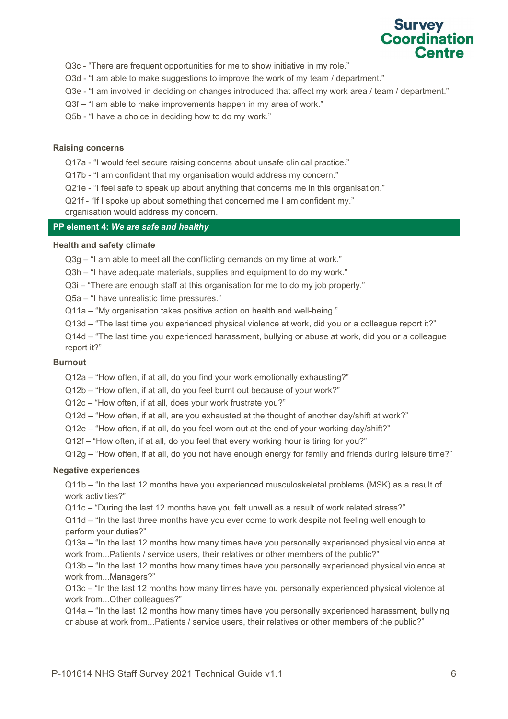

Q3c - "There are frequent opportunities for me to show initiative in my role."

- Q3d "I am able to make suggestions to improve the work of my team / department."
- Q3e "I am involved in deciding on changes introduced that affect my work area / team / department."
- Q3f "I am able to make improvements happen in my area of work."
- Q5b "I have a choice in deciding how to do my work."

#### **Raising concerns**

- Q17a "I would feel secure raising concerns about unsafe clinical practice."
- Q17b "I am confident that my organisation would address my concern."
- Q21e "I feel safe to speak up about anything that concerns me in this organisation."
- Q21f "If I spoke up about something that concerned me I am confident my."

organisation would address my concern.

#### **PP element 4:** *We are safe and healthy*

## **Health and safety climate**

- Q3g "I am able to meet all the conflicting demands on my time at work."
- Q3h "I have adequate materials, supplies and equipment to do my work."
- Q3i "There are enough staff at this organisation for me to do my job properly."
- Q5a "I have unrealistic time pressures."
- Q11a "My organisation takes positive action on health and well-being."
- Q13d "The last time you experienced physical violence at work, did you or a colleague report it?"
- Q14d "The last time you experienced harassment, bullying or abuse at work, did you or a colleague report it?"

#### **Burnout**

- Q12a "How often, if at all, do you find your work emotionally exhausting?"
- Q12b "How often, if at all, do you feel burnt out because of your work?"
- Q12c "How often, if at all, does your work frustrate you?"
- Q12d "How often, if at all, are you exhausted at the thought of another day/shift at work?"
- Q12e "How often, if at all, do you feel worn out at the end of your working day/shift?"
- Q12f "How often, if at all, do you feel that every working hour is tiring for you?"
- Q12g "How often, if at all, do you not have enough energy for family and friends during leisure time?"

### **Negative experiences**

Q11b – "In the last 12 months have you experienced musculoskeletal problems (MSK) as a result of work activities?"

Q11c – "During the last 12 months have you felt unwell as a result of work related stress?"

Q11d – "In the last three months have you ever come to work despite not feeling well enough to perform your duties?"

Q13a – "In the last 12 months how many times have you personally experienced physical violence at work from...Patients / service users, their relatives or other members of the public?"

Q13b – "In the last 12 months how many times have you personally experienced physical violence at work from...Managers?"

Q13c – "In the last 12 months how many times have you personally experienced physical violence at work from...Other colleagues?"

Q14a – "In the last 12 months how many times have you personally experienced harassment, bullying or abuse at work from...Patients / service users, their relatives or other members of the public?"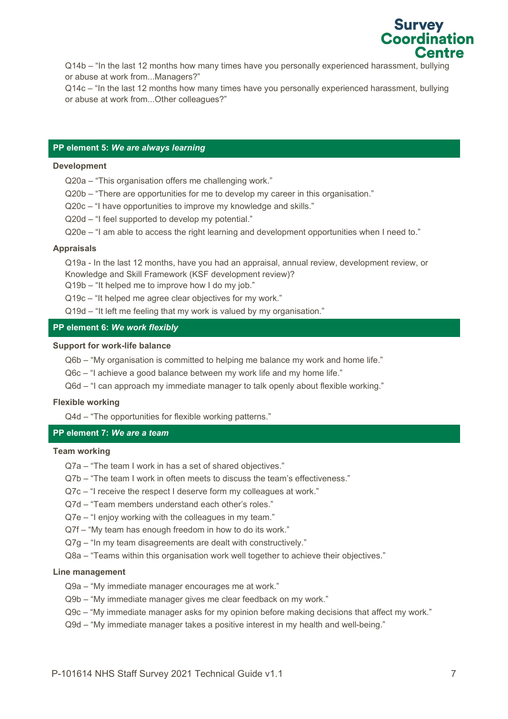

Q14b – "In the last 12 months how many times have you personally experienced harassment, bullying or abuse at work from...Managers?"

Q14c – "In the last 12 months how many times have you personally experienced harassment, bullying or abuse at work from...Other colleagues?"

## **PP element 5:** *We are always learning*

#### **Development**

- Q20a "This organisation offers me challenging work."
- Q20b "There are opportunities for me to develop my career in this organisation."
- Q20c "I have opportunities to improve my knowledge and skills."
- Q20d "I feel supported to develop my potential."
- Q20e "I am able to access the right learning and development opportunities when I need to."

#### **Appraisals**

Q19a - In the last 12 months, have you had an appraisal, annual review, development review, or Knowledge and Skill Framework (KSF development review)?

Q19b – "It helped me to improve how I do my job."

Q19c – "It helped me agree clear objectives for my work."

Q19d – "It left me feeling that my work is valued by my organisation."

#### **PP element 6:** *We work flexibly*

#### **Support for work-life balance**

- Q6b "My organisation is committed to helping me balance my work and home life."
- Q6c "I achieve a good balance between my work life and my home life."
- Q6d "I can approach my immediate manager to talk openly about flexible working."

#### **Flexible working**

Q4d – "The opportunities for flexible working patterns."

### **PP element 7:** *We are a team*

#### **Team working**

- Q7a "The team I work in has a set of shared objectives."
- Q7b "The team I work in often meets to discuss the team's effectiveness."
- Q7c "I receive the respect I deserve form my colleagues at work."
- Q7d "Team members understand each other's roles."
- Q7e "I enjoy working with the colleagues in my team."
- Q7f "My team has enough freedom in how to do its work."
- Q7g "In my team disagreements are dealt with constructively."
- Q8a "Teams within this organisation work well together to achieve their objectives."

#### **Line management**

- Q9a "My immediate manager encourages me at work."
- Q9b "My immediate manager gives me clear feedback on my work."
- Q9c "My immediate manager asks for my opinion before making decisions that affect my work."
- Q9d "My immediate manager takes a positive interest in my health and well-being."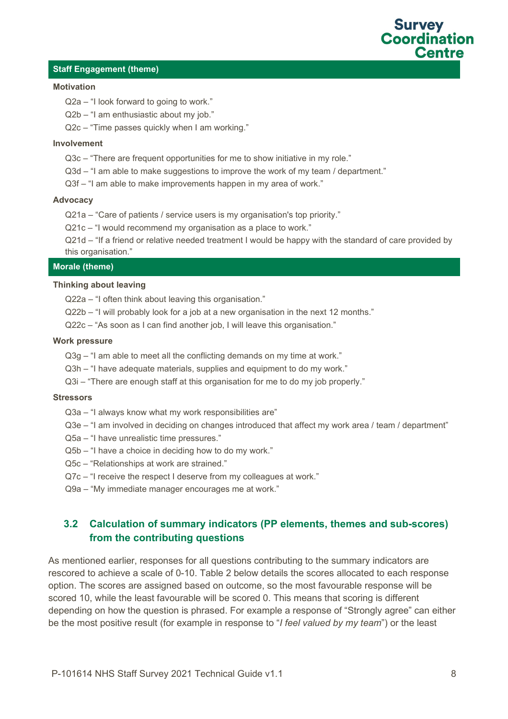

### **Staff Engagement (theme)**

#### **Motivation**

Q2a – "I look forward to going to work."

Q2b – "I am enthusiastic about my job."

Q2c – "Time passes quickly when I am working."

#### **Involvement**

- Q3c "There are frequent opportunities for me to show initiative in my role."
- Q3d "I am able to make suggestions to improve the work of my team / department."
- Q3f "I am able to make improvements happen in my area of work."

#### **Advocacy**

- Q21a "Care of patients / service users is my organisation's top priority."
- Q21c "I would recommend my organisation as a place to work."

Q21d – "If a friend or relative needed treatment I would be happy with the standard of care provided by this organisation."

## **Morale (theme)**

### **Thinking about leaving**

Q22a – "I often think about leaving this organisation."

- Q22b "I will probably look for a job at a new organisation in the next 12 months."
- Q22c "As soon as I can find another job, I will leave this organisation."

#### **Work pressure**

- Q3g "I am able to meet all the conflicting demands on my time at work."
- Q3h "I have adequate materials, supplies and equipment to do my work."
- Q3i "There are enough staff at this organisation for me to do my job properly."

#### **Stressors**

- Q3a "I always know what my work responsibilities are"
- Q3e "I am involved in deciding on changes introduced that affect my work area / team / department"
- Q5a "I have unrealistic time pressures."
- Q5b "I have a choice in deciding how to do my work."
- Q5c "Relationships at work are strained."
- Q7c "I receive the respect I deserve from my colleagues at work."
- Q9a "My immediate manager encourages me at work."

## <span id="page-8-0"></span>**3.2 Calculation of summary indicators (PP elements, themes and sub-scores) from the contributing questions**

As mentioned earlier, responses for all questions contributing to the summary indicators are rescored to achieve a scale of 0-10. Table 2 below details the scores allocated to each response option. The scores are assigned based on outcome, so the most favourable response will be scored 10, while the least favourable will be scored 0. This means that scoring is different depending on how the question is phrased. For example a response of "Strongly agree" can either be the most positive result (for example in response to "*I feel valued by my team*") or the least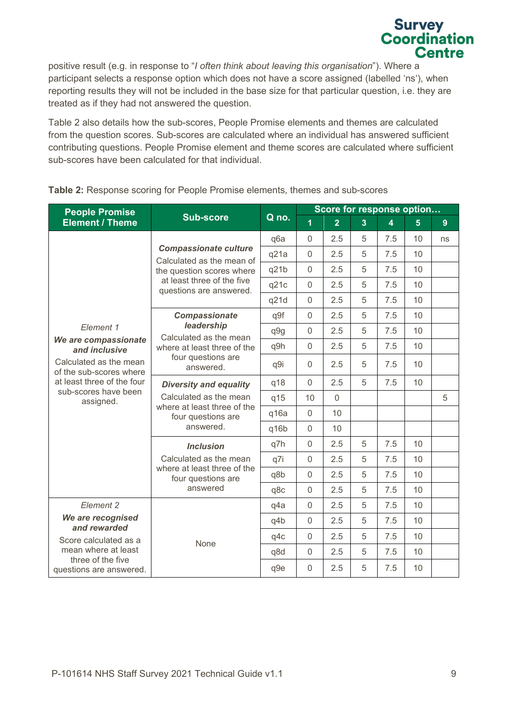positive result (e.g. in response to "*I often think about leaving this organisation*"). Where a participant selects a response option which does not have a score assigned (labelled 'ns'), when reporting results they will not be included in the base size for that particular question, i.e. they are treated as if they had not answered the question.

Table 2 also details how the sub-scores, People Promise elements and themes are calculated from the question scores. Sub-scores are calculated where an individual has answered sufficient contributing questions. People Promise element and theme scores are calculated where sufficient sub-scores have been calculated for that individual.

| <b>People Promise</b>                             |                                                           |                                | Score for response option |                |                |                         |                      |   |
|---------------------------------------------------|-----------------------------------------------------------|--------------------------------|---------------------------|----------------|----------------|-------------------------|----------------------|---|
| <b>Element / Theme</b>                            | <b>Sub-score</b>                                          | Q no.                          | $\overline{1}$            | $\overline{2}$ | $\overline{3}$ | $\overline{\mathbf{4}}$ | $\overline{5}$       | 9 |
|                                                   |                                                           | 2.5<br>5<br>$\mathbf 0$<br>q6a |                           | 7.5            | 10             | ns                      |                      |   |
|                                                   | <b>Compassionate culture</b><br>Calculated as the mean of | q21a                           | $\overline{0}$            | 2.5            | 5              | 7.5                     | 10                   |   |
|                                                   | the question scores where                                 | q21b                           | $\Omega$                  | 2.5            | 5              | 7.5                     | 10                   |   |
|                                                   | at least three of the five<br>questions are answered.     | q21c                           | $\Omega$                  | 2.5            | 5              | 7.5                     | 10                   |   |
|                                                   |                                                           | q21d                           | $\Omega$                  | 2.5            | 5              | 7.5                     | 10                   |   |
|                                                   | <b>Compassionate</b>                                      | q9f                            | $\Omega$                  | 2.5            | 5              | 7.5                     | 10 <sup>1</sup>      |   |
| Element 1                                         | leadership<br>Calculated as the mean                      | q9g                            | $\Omega$                  | 2.5            | 5              | 7.5                     | 10                   |   |
| We are compassionate<br>and inclusive             | where at least three of the                               | q9h                            | $\overline{0}$            | 2.5            | 5              | 7.5                     | 10                   |   |
| Calculated as the mean<br>of the sub-scores where | four questions are<br>answered.                           | q9i                            | $\mathbf 0$               | 2.5            | 5              | 7.5                     | 10                   |   |
| at least three of the four                        | <b>Diversity and equality</b>                             | q18                            | $\overline{0}$            | 2.5            | 5              | 7.5                     | 10                   |   |
| sub-scores have been<br>assigned.                 | Calculated as the mean                                    | q15                            | 10                        | $\overline{0}$ |                |                         |                      | 5 |
|                                                   | where at least three of the<br>four questions are         | q16a                           | $\mathbf 0$               | 10             |                |                         |                      |   |
|                                                   | answered.                                                 | q16b                           | $\overline{0}$            | 10             |                |                         |                      |   |
|                                                   | <b>Inclusion</b>                                          | $\overline{0}$<br>q7h          |                           | 2.5            | 5              | 7.5                     | 10                   |   |
|                                                   | Calculated as the mean                                    | q7i                            | $\overline{0}$            | 2.5            | 5              | 7.5                     | 10                   |   |
|                                                   | where at least three of the<br>four questions are         | q8b                            | $\overline{0}$            | 2.5            | 5              | 7.5                     | 10                   |   |
|                                                   | answered                                                  | q8c                            | $\mathbf 0$               | 2.5            | 5              | 7.5                     | 10                   |   |
| Element 2                                         |                                                           | q4a                            | $\mathbf 0$               | 2.5            | 5              | 7.5                     | 10                   |   |
| We are recognised<br>and rewarded                 |                                                           | q4b                            | $\Omega$                  | 2.5            | 5              | 7.5                     | 10<br>10<br>10<br>10 |   |
| Score calculated as a                             | None                                                      | q4c                            | $\mathbf{0}$              | 2.5            | 5              | 7.5                     |                      |   |
| mean where at least<br>three of the five          |                                                           | q8d                            | $\overline{0}$            | 2.5            | 5              | 7.5                     |                      |   |
| questions are answered.                           |                                                           | q9e                            | $\overline{0}$            | 2.5            | 5              | 7.5                     |                      |   |

## **Table 2:** Response scoring for People Promise elements, themes and sub-scores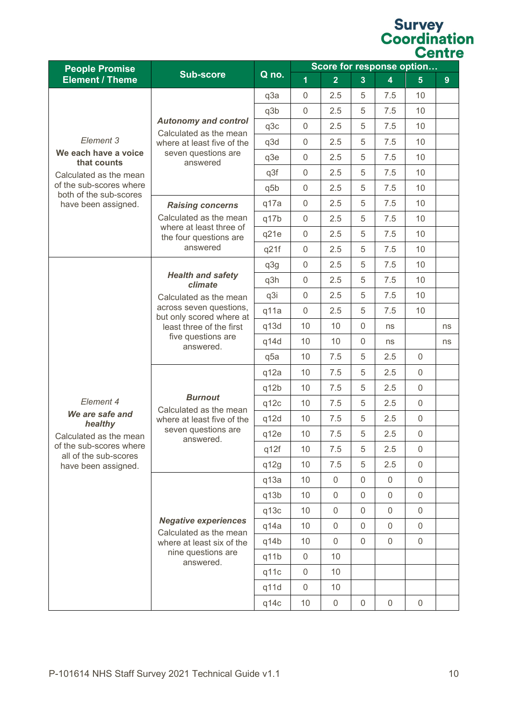| <b>People Promise</b>                             |                                                                                     |         | Score for response option |                  |                |                         |                                                                                                                                                                                                                                                                                                                             |   |
|---------------------------------------------------|-------------------------------------------------------------------------------------|---------|---------------------------|------------------|----------------|-------------------------|-----------------------------------------------------------------------------------------------------------------------------------------------------------------------------------------------------------------------------------------------------------------------------------------------------------------------------|---|
| <b>Element / Theme</b>                            | <b>Sub-score</b>                                                                    | $Q$ no. | $\overline{1}$            | $\overline{2}$   | $\overline{3}$ | $\overline{\mathbf{4}}$ | $5\phantom{1}$                                                                                                                                                                                                                                                                                                              | 9 |
|                                                   |                                                                                     | q3a     | $\mathbf 0$               | 2.5              | 5              | 7.5                     | 10                                                                                                                                                                                                                                                                                                                          |   |
|                                                   | <b>Autonomy and control</b><br>Calculated as the mean<br>where at least five of the | q3b     | $\mathsf 0$               | 2.5              | 5              | 7.5                     | 10                                                                                                                                                                                                                                                                                                                          |   |
|                                                   |                                                                                     | q3c     | $\mathsf{O}\xspace$       | 2.5              | 5              | 7.5                     | 10                                                                                                                                                                                                                                                                                                                          |   |
| Element 3                                         |                                                                                     | q3d     | $\mathsf 0$               | 2.5              | 5              | 7.5                     | 10                                                                                                                                                                                                                                                                                                                          |   |
| We each have a voice<br>that counts               | seven questions are<br>answered                                                     | q3e     | $\mathsf{O}\xspace$       | 2.5              | 5              | 7.5                     | 10                                                                                                                                                                                                                                                                                                                          |   |
| Calculated as the mean                            |                                                                                     | q3f     | $\mathsf 0$               | 2.5              | 5              | 7.5                     | 10                                                                                                                                                                                                                                                                                                                          |   |
| of the sub-scores where<br>both of the sub-scores |                                                                                     | q5b     | $\mathsf 0$               | 2.5              | 5              | 7.5                     | 10                                                                                                                                                                                                                                                                                                                          |   |
| have been assigned.                               | <b>Raising concerns</b>                                                             | q17a    | $\mathsf 0$               | 2.5              | 5              | 7.5                     | 10                                                                                                                                                                                                                                                                                                                          |   |
|                                                   | Calculated as the mean                                                              | q17b    | $\mathsf 0$               | 2.5              | 5              | 7.5                     | 10                                                                                                                                                                                                                                                                                                                          |   |
|                                                   | where at least three of<br>$\mathsf 0$<br>q21e<br>the four questions are            | 2.5     | 5                         | 7.5              | 10             |                         |                                                                                                                                                                                                                                                                                                                             |   |
|                                                   | answered                                                                            | q21f    | $\mathsf{O}\xspace$       | 2.5              | 5              | 7.5                     | 10<br>10<br>10<br>10<br>10<br>ns<br>ns<br>0<br>$\mathsf{O}\xspace$<br>$\mathsf{O}\xspace$<br>$\mathsf{O}\xspace$<br>$\mathsf{O}\xspace$<br>$\mathsf{O}\xspace$<br>$\mathbf 0$<br>$\mathbf 0$<br>$\mathsf{O}\xspace$<br>$\mathbf 0$<br>$\mathsf{O}\xspace$<br>$\mathsf{O}\xspace$<br>$\mathsf{O}\xspace$<br>$\boldsymbol{0}$ |   |
|                                                   |                                                                                     | q3g     | $\mathsf 0$               | 2.5              | 5              | 7.5                     |                                                                                                                                                                                                                                                                                                                             |   |
|                                                   | <b>Health and safety</b><br>climate                                                 | q3h     | $\mathsf{O}\xspace$       | 2.5              | 5              | 7.5                     |                                                                                                                                                                                                                                                                                                                             |   |
|                                                   | Calculated as the mean                                                              | q3i     | $\mathsf 0$               | 2.5              | 5              | 7.5                     | 7.5<br>ns<br>ns<br>2.5<br>2.5<br>2.5<br>2.5<br>2.5<br>2.5<br>2.5<br>2.5<br>$\mathbf 0$                                                                                                                                                                                                                                      |   |
|                                                   | across seven questions,<br>but only scored where at                                 | q11a    | $\mathsf 0$               | 2.5              | 5              |                         |                                                                                                                                                                                                                                                                                                                             |   |
|                                                   | least three of the first                                                            | q13d    | 10                        | 10               | 0              |                         |                                                                                                                                                                                                                                                                                                                             |   |
|                                                   | five questions are<br>answered.                                                     | q14d    | 10                        | 10               | 0              |                         |                                                                                                                                                                                                                                                                                                                             |   |
|                                                   |                                                                                     | q5a     | 10                        | 7.5              | 5              |                         |                                                                                                                                                                                                                                                                                                                             |   |
|                                                   | <b>Burnout</b><br>Calculated as the mean<br>where at least five of the              | q12a    | 10                        | 7.5              | 5              |                         |                                                                                                                                                                                                                                                                                                                             |   |
|                                                   |                                                                                     | q12b    | 10                        | 7.5              | 5              |                         |                                                                                                                                                                                                                                                                                                                             |   |
| Element 4                                         |                                                                                     | q12c    | 10                        | 7.5              | 5              |                         |                                                                                                                                                                                                                                                                                                                             |   |
| We are safe and<br>healthy                        |                                                                                     | q12d    | 10                        | 7.5              | 5              |                         |                                                                                                                                                                                                                                                                                                                             |   |
| Calculated as the mean                            | seven questions are<br>answered.                                                    | q12e    | 10                        | 7.5              | 5              |                         |                                                                                                                                                                                                                                                                                                                             |   |
| of the sub-scores where<br>all of the sub-scores  |                                                                                     | q12f    | 10                        | 7.5              | 5              |                         |                                                                                                                                                                                                                                                                                                                             |   |
| have been assigned.                               |                                                                                     | q12g    | 10                        | 7.5              | 5              |                         |                                                                                                                                                                                                                                                                                                                             |   |
|                                                   |                                                                                     | q13a    | 10                        | $\mathsf 0$      | 0              |                         |                                                                                                                                                                                                                                                                                                                             |   |
|                                                   |                                                                                     | q13b    | 10                        | $\mathsf 0$      | 0              | $\mathbf 0$             |                                                                                                                                                                                                                                                                                                                             |   |
|                                                   |                                                                                     | q13c    | 10                        | $\mathsf 0$      | 0              | $\mathbf 0$             |                                                                                                                                                                                                                                                                                                                             |   |
|                                                   | <b>Negative experiences</b>                                                         | q14a    | 10                        | $\mathsf 0$      | 0              | $\mathbf 0$             |                                                                                                                                                                                                                                                                                                                             |   |
|                                                   | Calculated as the mean<br>where at least six of the                                 | q14b    | 10                        | $\mathsf 0$      | $\mathbf 0$    | $\mathbf 0$             |                                                                                                                                                                                                                                                                                                                             |   |
|                                                   | nine questions are<br>answered.                                                     | q11b    | $\mathsf{O}\xspace$       | 10               |                |                         |                                                                                                                                                                                                                                                                                                                             |   |
|                                                   |                                                                                     | q11c    | $\mathsf{O}\xspace$       | 10               |                |                         |                                                                                                                                                                                                                                                                                                                             |   |
|                                                   |                                                                                     | q11d    | $\mathsf{O}\xspace$       | 10               |                |                         |                                                                                                                                                                                                                                                                                                                             |   |
|                                                   |                                                                                     | q14c    | 10                        | $\boldsymbol{0}$ | 0              | $\mathbf 0$             |                                                                                                                                                                                                                                                                                                                             |   |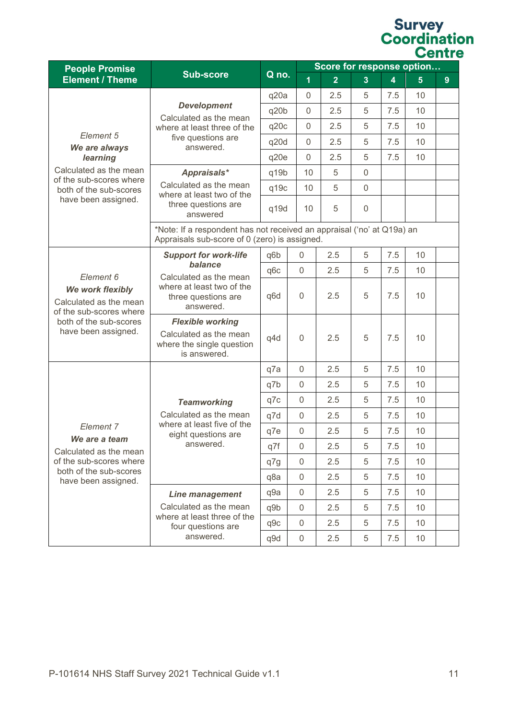| <b>People Promise</b>                                                 |                                                                                                                         |       | Score for response option |     |                         |                         |                |   |
|-----------------------------------------------------------------------|-------------------------------------------------------------------------------------------------------------------------|-------|---------------------------|-----|-------------------------|-------------------------|----------------|---|
| <b>Element / Theme</b>                                                | <b>Sub-score</b>                                                                                                        | Q no. | $\overline{1}$            |     | $\overline{\mathbf{3}}$ | $\overline{\mathbf{4}}$ | $5\phantom{1}$ | 9 |
|                                                                       | <b>Development</b><br>Calculated as the mean<br>where at least three of the                                             | q20a  | $\overline{0}$            | 2.5 | 5                       | 7.5                     | 10             |   |
|                                                                       |                                                                                                                         | q20b  | $\overline{0}$            | 2.5 | 5                       | 7.5                     | 10             |   |
|                                                                       |                                                                                                                         | q20c  | $\overline{0}$            | 2.5 | 5                       | 7.5                     | 10             |   |
| Element 5<br>We are always                                            | five questions are<br>answered.                                                                                         | q20d  | $\overline{0}$            | 2.5 | 5                       | 7.5                     | 10             |   |
| learning                                                              |                                                                                                                         | q20e  | $\overline{0}$            | 2.5 | 5                       | 7.5                     | 10             |   |
| Calculated as the mean                                                | Appraisals*                                                                                                             | q19b  | 10                        | 5   | 0                       |                         |                |   |
| of the sub-scores where<br>both of the sub-scores                     | Calculated as the mean<br>where at least two of the                                                                     | q19c  | 10                        | 5   | 0                       |                         |                |   |
| have been assigned.                                                   | three questions are<br>answered                                                                                         | q19d  | 10                        | 5   | 0                       |                         |                |   |
|                                                                       | *Note: If a respondent has not received an appraisal ('no' at Q19a) an<br>Appraisals sub-score of 0 (zero) is assigned. |       |                           |     |                         |                         |                |   |
|                                                                       | <b>Support for work-life</b>                                                                                            | q6b   | 0                         | 2.5 | 5                       | 7.5                     | 10             |   |
| Element 6                                                             | balance<br>Calculated as the mean                                                                                       | q6c   | $\mathsf 0$               | 2.5 | 5                       | 7.5                     | 10             |   |
| We work flexibly<br>Calculated as the mean<br>of the sub-scores where | where at least two of the<br>three questions are<br>answered.                                                           | q6d   | 0                         | 2.5 | 5                       | 7.5                     | 10             |   |
| both of the sub-scores<br>have been assigned.                         | <b>Flexible working</b><br>Calculated as the mean<br>where the single question<br>is answered.                          | q4d   | 0                         | 2.5 | 5                       | 7.5                     | 10             |   |
|                                                                       |                                                                                                                         | q7a   | 0                         | 2.5 | 5                       | 7.5                     | 10             |   |
|                                                                       |                                                                                                                         | q7b   | 0                         | 2.5 | 5                       | 7.5                     | 10             |   |
|                                                                       | <b>Teamworking</b>                                                                                                      | q7c   | 0                         | 2.5 | 5                       | 7.5                     | 10             |   |
|                                                                       | Calculated as the mean                                                                                                  | q7d   | $\mathsf 0$               | 2.5 | 5                       | 7.5                     | 10             |   |
| Element 7                                                             | where at least five of the<br>eight questions are                                                                       | q7e   | $\boldsymbol{0}$          | 2.5 | 5                       | 7.5                     | 10             |   |
| We are a team<br>Calculated as the mean                               | answered.                                                                                                               | q7f   | $\mathsf{O}\xspace$       | 2.5 | 5                       | 7.5                     | 10             |   |
| of the sub-scores where                                               |                                                                                                                         | q7g   | $\mathsf{O}\xspace$       | 2.5 | 5                       | 7.5                     | 10             |   |
| both of the sub-scores<br>have been assigned.                         |                                                                                                                         | q8a   | $\mathsf{O}\xspace$       | 2.5 | 5                       | 7.5                     | 10             |   |
|                                                                       | <b>Line management</b>                                                                                                  | q9a   | $\mathsf{O}\xspace$       | 2.5 | 5                       | 7.5                     | 10             |   |
|                                                                       | Calculated as the mean                                                                                                  | q9b   | 0                         | 2.5 | 5                       | 7.5                     | 10             |   |
|                                                                       | where at least three of the<br>four questions are                                                                       | q9c   | $\mathsf{O}\xspace$       | 2.5 | 5                       | 7.5                     | 10             |   |
|                                                                       | answered.                                                                                                               | q9d   | $\boldsymbol{0}$          | 2.5 | 5                       | 7.5                     | 10             |   |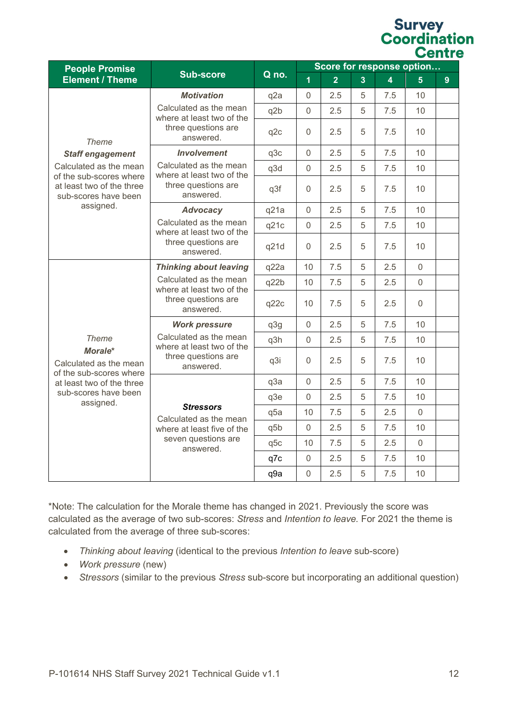| <b>People Promise</b>                                                        |                                                      |                 | Score for response option |                |                |                |                                                  |   |
|------------------------------------------------------------------------------|------------------------------------------------------|-----------------|---------------------------|----------------|----------------|----------------|--------------------------------------------------|---|
| <b>Element / Theme</b>                                                       | <b>Sub-score</b>                                     | Q no.           | $\overline{1}$            | $\overline{2}$ | $\overline{3}$ | $\overline{4}$ | 5 <sup>5</sup>                                   | 9 |
|                                                                              | <b>Motivation</b>                                    | q2a             | $\mathbf 0$               | 2.5            | 5              | 7.5            | 10                                               |   |
|                                                                              | Calculated as the mean<br>where at least two of the  | q2b             | $\overline{0}$            | 2.5            | 5              | 7.5            | 10                                               |   |
| <b>Theme</b>                                                                 | three questions are<br>answered.                     | q <sub>2c</sub> | $\Omega$                  | 2.5            | 5              | 7.5            | 10                                               |   |
| <b>Staff engagement</b>                                                      | <b>Involvement</b>                                   | q3c             | $\overline{0}$            | 2.5            | 5              | 7.5            | 10                                               |   |
| Calculated as the mean                                                       | Calculated as the mean<br>where at least two of the  | q3d             | $\overline{0}$            | 2.5            | 5              | 7.5            | 10                                               |   |
| of the sub-scores where<br>at least two of the three<br>sub-scores have been | three questions are<br>answered.                     | q3f             | $\Omega$                  | 2.5            | 5              | 7.5            | 10                                               |   |
| assigned.                                                                    | <b>Advocacy</b>                                      | q21a            | $\Omega$                  | 2.5            | 5              | 7.5            | 10                                               |   |
|                                                                              | Calculated as the mean<br>where at least two of the  | q21c            | $\Omega$                  | 2.5            | 5              | 7.5            | 10                                               |   |
|                                                                              | three questions are<br>answered.                     | q21d            | 0                         | 2.5            | 5              | 7.5            | 10                                               |   |
|                                                                              | <b>Thinking about leaving</b>                        | q22a            | 10                        | 7.5            | 5              | 2.5            | $\Omega$<br>$\mathbf{0}$<br>$\Omega$<br>10<br>10 |   |
|                                                                              | Calculated as the mean<br>where at least two of the  | q22b            | 10                        | 7.5            | 5              | 2.5            |                                                  |   |
|                                                                              | three questions are<br>answered.                     | q22c            | 10                        | 7.5            | 5              | 2.5            |                                                  |   |
|                                                                              | <b>Work pressure</b>                                 | q3g             | $\Omega$                  | 2.5            | 5              | 7.5            |                                                  |   |
| <b>Theme</b>                                                                 | Calculated as the mean<br>where at least two of the  | q3h             | $\overline{0}$            | 2.5            | 5              | 7.5            |                                                  |   |
| Morale*<br>Calculated as the mean<br>of the sub-scores where                 | three questions are<br>answered.                     | q3i             | $\Omega$                  | 2.5            | 5              | 7.5            | 10                                               |   |
| at least two of the three                                                    |                                                      | q3a             | $\mathbf 0$               | 2.5            | 5              | 7.5            | 10                                               |   |
| sub-scores have been<br>assigned.                                            |                                                      | q3e             | $\Omega$                  | 2.5            | 5              | 7.5            | 10                                               |   |
|                                                                              | <b>Stressors</b>                                     | q5a             | 10                        | 7.5            | 5              | 2.5            | $\mathbf{0}$                                     |   |
|                                                                              | Calculated as the mean<br>where at least five of the | q5b             | $\Omega$                  | 2.5            | 5              | 7.5            | 10                                               |   |
|                                                                              | seven questions are<br>answered.                     | q5c             | 10                        | 7.5            | 5              | 2.5            | $\Omega$                                         |   |
|                                                                              |                                                      | q7c             | $\overline{0}$            | 2.5            | 5              | 7.5            | 10                                               |   |
|                                                                              |                                                      | q9a             | $\mathbf 0$               | 2.5            | 5              | 7.5            | 10                                               |   |

\*Note: The calculation for the Morale theme has changed in 2021. Previously the score was calculated as the average of two sub-scores: *Stress* and *Intention to leave.* For 2021 the theme is calculated from the average of three sub-scores:

- *Thinking about leaving* (identical to the previous *Intention to leave* sub-score)
- *Work pressure* (new)
- <span id="page-12-0"></span>• *Stressors* (similar to the previous *Stress* sub-score but incorporating an additional question)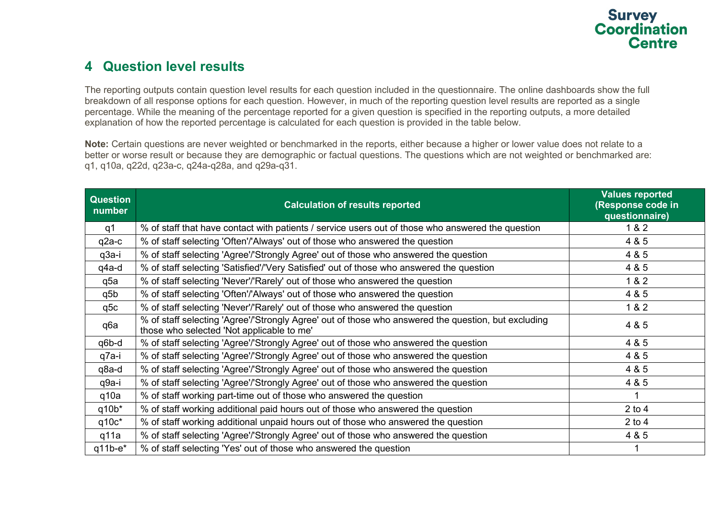## **4 Question level results**

The reporting outputs contain question level results for each question included in the questionnaire. The online dashboards show the full breakdown of all response options for each question. However, in much of the reporting question level results are reported as a single percentage. While the meaning of the percentage reported for a given question is specified in the reporting outputs, a more detailed explanation of how the reported percentage is calculated for each question is provided in the table below.

**Note:** Certain questions are never weighted or benchmarked in the reports, either because a higher or lower value does not relate to a better or worse result or because they are demographic or factual questions. The questions which are not weighted or benchmarked are: q1, q10a, q22d, q23a-c, q24a-q28a, and q29a-q31.

<span id="page-13-0"></span>

| <b>Question</b><br>number | <b>Calculation of results reported</b>                                                                                                           | <b>Values reported</b><br>(Response code in<br>questionnaire) |
|---------------------------|--------------------------------------------------------------------------------------------------------------------------------------------------|---------------------------------------------------------------|
| q1                        | % of staff that have contact with patients / service users out of those who answered the question                                                | 1 & 2                                                         |
| $q2a-c$                   | % of staff selecting 'Often'/'Always' out of those who answered the question                                                                     | 4 & 5                                                         |
| q3a-i                     | % of staff selecting 'Agree'/'Strongly Agree' out of those who answered the question                                                             | 4 & 5                                                         |
| q4a-d                     | % of staff selecting 'Satisfied'/'Very Satisfied' out of those who answered the question                                                         | 4 & 5                                                         |
| q5a                       | % of staff selecting 'Never'/'Rarely' out of those who answered the question                                                                     | 1 & 2                                                         |
| q5b                       | % of staff selecting 'Often'/'Always' out of those who answered the question                                                                     | 4 & 5                                                         |
| q5c                       | % of staff selecting 'Never'/'Rarely' out of those who answered the question                                                                     | 1 & 2                                                         |
| q6a                       | % of staff selecting 'Agree'/'Strongly Agree' out of those who answered the question, but excluding<br>those who selected 'Not applicable to me' | 4 & 5                                                         |
| q6b-d                     | % of staff selecting 'Agree'/'Strongly Agree' out of those who answered the question                                                             | 4 & 5                                                         |
| q7a-i                     | % of staff selecting 'Agree'/'Strongly Agree' out of those who answered the question                                                             | 4 & 5                                                         |
| q8a-d                     | % of staff selecting 'Agree'/'Strongly Agree' out of those who answered the question                                                             | 4 & 5                                                         |
| q9a-i                     | % of staff selecting 'Agree'/'Strongly Agree' out of those who answered the question                                                             | 4 & 5                                                         |
| q10a                      | % of staff working part-time out of those who answered the question                                                                              |                                                               |
| $q10b*$                   | % of staff working additional paid hours out of those who answered the question                                                                  | $2$ to $4$                                                    |
| $q10c*$                   | % of staff working additional unpaid hours out of those who answered the question                                                                | $2$ to $4$                                                    |
| q11a                      | % of staff selecting 'Agree'/'Strongly Agree' out of those who answered the question                                                             | 4 & 5                                                         |
| $q11b-e*$                 | % of staff selecting 'Yes' out of those who answered the question                                                                                |                                                               |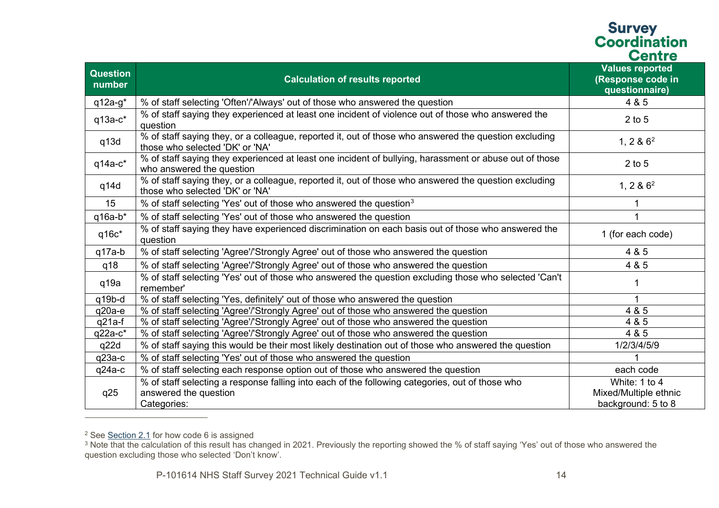<span id="page-14-2"></span><span id="page-14-1"></span><span id="page-14-0"></span>

| <b>Question</b><br>number | <b>Calculation of results reported</b>                                                                                                   | <b>Values reported</b><br>(Response code in<br>questionnaire) |
|---------------------------|------------------------------------------------------------------------------------------------------------------------------------------|---------------------------------------------------------------|
| $q12a-g^*$                | % of staff selecting 'Often'/'Always' out of those who answered the question                                                             | 4 & 5                                                         |
| $q13a-c*$                 | % of staff saying they experienced at least one incident of violence out of those who answered the<br>question                           | $2$ to $5$                                                    |
| q13d                      | % of staff saying they, or a colleague, reported it, out of those who answered the question excluding<br>those who selected 'DK' or 'NA' | 1, 2 & $6^2$                                                  |
| $q14a-c$ *                | % of staff saying they experienced at least one incident of bullying, harassment or abuse out of those<br>who answered the question      | $2$ to $5$                                                    |
| q14d                      | % of staff saying they, or a colleague, reported it, out of those who answered the question excluding<br>those who selected 'DK' or 'NA' | 1, 2 & $6^2$                                                  |
| 15                        | % of staff selecting 'Yes' out of those who answered the question <sup>3</sup>                                                           |                                                               |
| $q16a-b*$                 | % of staff selecting 'Yes' out of those who answered the question                                                                        |                                                               |
| $q16c*$                   | % of staff saying they have experienced discrimination on each basis out of those who answered the<br>question                           | 1 (for each code)                                             |
| $q17a-b$                  | % of staff selecting 'Agree'/'Strongly Agree' out of those who answered the question                                                     | 4 & 5                                                         |
| q18                       | % of staff selecting 'Agree'/'Strongly Agree' out of those who answered the question                                                     | 4 & 5                                                         |
| q19a                      | % of staff selecting 'Yes' out of those who answered the question excluding those who selected 'Can't<br>remember'                       |                                                               |
| q19b-d                    | % of staff selecting 'Yes, definitely' out of those who answered the question                                                            |                                                               |
| $q20a-e$                  | % of staff selecting 'Agree'/'Strongly Agree' out of those who answered the question                                                     | 4 & 5                                                         |
| $q21a-f$                  | % of staff selecting 'Agree'/'Strongly Agree' out of those who answered the question                                                     | 4 & 5                                                         |
| $q22a-c$ *                | % of staff selecting 'Agree'/'Strongly Agree' out of those who answered the question                                                     | 4 & 5                                                         |
| q22d                      | % of staff saying this would be their most likely destination out of those who answered the question                                     | 1/2/3/4/5/9                                                   |
| $q23a-c$                  | % of staff selecting 'Yes' out of those who answered the question                                                                        |                                                               |
| $q24a-c$                  | % of staff selecting each response option out of those who answered the question                                                         | each code                                                     |
| q25                       | % of staff selecting a response falling into each of the following categories, out of those who<br>answered the question<br>Categories:  | White: 1 to 4<br>Mixed/Multiple ethnic<br>background: 5 to 8  |

<sup>&</sup>lt;sup>2</sup> See <u>Section 2.1</u> for how code 6 is assigned

 $^{\rm 3}$  Note that the calculation of this result has changed in 2021. Previously the reporting showed the % of staff saying 'Yes' out of those who answered the question excluding those who selected 'Don't know'.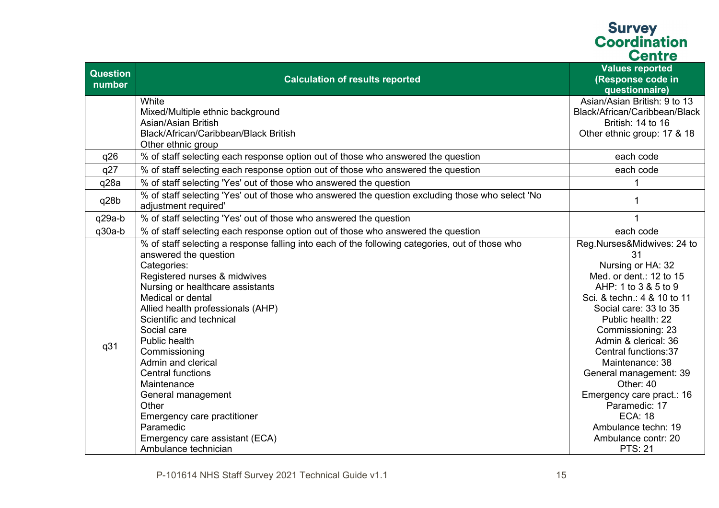| <b>Question</b><br>number | <b>Calculation of results reported</b>                                                                                                                                                                                                                                                                                                                                                                                                                                                                                                                   | <b>Values reported</b><br>(Response code in<br>questionnaire)                                                                                                                                                                                                                                                                                                                                                                                         |
|---------------------------|----------------------------------------------------------------------------------------------------------------------------------------------------------------------------------------------------------------------------------------------------------------------------------------------------------------------------------------------------------------------------------------------------------------------------------------------------------------------------------------------------------------------------------------------------------|-------------------------------------------------------------------------------------------------------------------------------------------------------------------------------------------------------------------------------------------------------------------------------------------------------------------------------------------------------------------------------------------------------------------------------------------------------|
|                           | White<br>Mixed/Multiple ethnic background<br>Asian/Asian British<br>Black/African/Caribbean/Black British<br>Other ethnic group                                                                                                                                                                                                                                                                                                                                                                                                                          | Asian/Asian British: 9 to 13<br>Black/African/Caribbean/Black<br>British: 14 to 16<br>Other ethnic group: 17 & 18                                                                                                                                                                                                                                                                                                                                     |
| q26                       | % of staff selecting each response option out of those who answered the question                                                                                                                                                                                                                                                                                                                                                                                                                                                                         | each code                                                                                                                                                                                                                                                                                                                                                                                                                                             |
| q27                       | % of staff selecting each response option out of those who answered the question                                                                                                                                                                                                                                                                                                                                                                                                                                                                         | each code                                                                                                                                                                                                                                                                                                                                                                                                                                             |
| q28a                      | % of staff selecting 'Yes' out of those who answered the question                                                                                                                                                                                                                                                                                                                                                                                                                                                                                        |                                                                                                                                                                                                                                                                                                                                                                                                                                                       |
| q28b                      | % of staff selecting 'Yes' out of those who answered the question excluding those who select 'No<br>adjustment required'                                                                                                                                                                                                                                                                                                                                                                                                                                 |                                                                                                                                                                                                                                                                                                                                                                                                                                                       |
| $q29a-b$                  | % of staff selecting 'Yes' out of those who answered the question                                                                                                                                                                                                                                                                                                                                                                                                                                                                                        |                                                                                                                                                                                                                                                                                                                                                                                                                                                       |
| $q30a-b$                  | % of staff selecting each response option out of those who answered the question                                                                                                                                                                                                                                                                                                                                                                                                                                                                         | each code                                                                                                                                                                                                                                                                                                                                                                                                                                             |
| q31                       | % of staff selecting a response falling into each of the following categories, out of those who<br>answered the question<br>Categories:<br>Registered nurses & midwives<br>Nursing or healthcare assistants<br>Medical or dental<br>Allied health professionals (AHP)<br>Scientific and technical<br>Social care<br>Public health<br>Commissioning<br>Admin and clerical<br><b>Central functions</b><br>Maintenance<br>General management<br>Other<br>Emergency care practitioner<br>Paramedic<br>Emergency care assistant (ECA)<br>Ambulance technician | Reg.Nurses&Midwives: 24 to<br>31<br>Nursing or HA: 32<br>Med. or dent.: 12 to 15<br>AHP: 1 to 3 & 5 to 9<br>Sci. & techn.: 4 & 10 to 11<br>Social care: 33 to 35<br>Public health: 22<br>Commissioning: 23<br>Admin & clerical: 36<br>Central functions: 37<br>Maintenance: 38<br>General management: 39<br>Other: 40<br>Emergency care pract.: 16<br>Paramedic: 17<br><b>ECA: 18</b><br>Ambulance techn: 19<br>Ambulance contr: 20<br><b>PTS: 21</b> |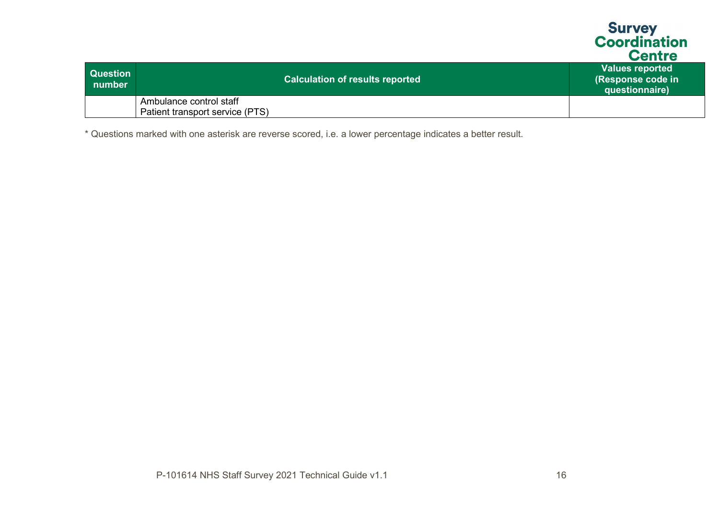|                    |                                                            | <b>Survey</b><br><b>Coordination</b><br><b>Centre</b>           |
|--------------------|------------------------------------------------------------|-----------------------------------------------------------------|
| Question<br>number | <b>Calculation of results reported</b>                     | <b>Values reported</b><br>(Response code in l<br>questionnaire) |
|                    | Ambulance control staff<br>Patient transport service (PTS) |                                                                 |

\* Questions marked with one asterisk are reverse scored, i.e. a lower percentage indicates a better result.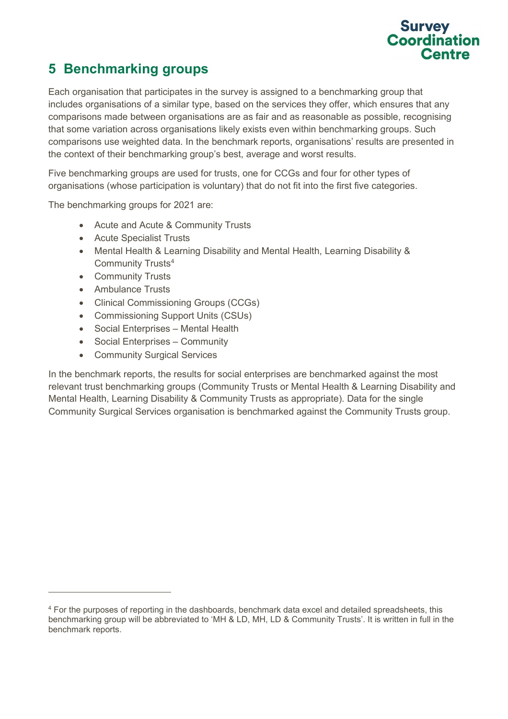

## <span id="page-17-0"></span>**5 Benchmarking groups**

Each organisation that participates in the survey is assigned to a benchmarking group that includes organisations of a similar type, based on the services they offer, which ensures that any comparisons made between organisations are as fair and as reasonable as possible, recognising that some variation across organisations likely exists even within benchmarking groups. Such comparisons use weighted data. In the benchmark reports, organisations' results are presented in the context of their benchmarking group's best, average and worst results.

Five benchmarking groups are used for trusts, one for CCGs and four for other types of organisations (whose participation is voluntary) that do not fit into the first five categories.

The benchmarking groups for 2021 are:

- Acute and Acute & Community Trusts
- Acute Specialist Trusts
- Mental Health & Learning Disability and Mental Health, Learning Disability & Community Trust[s4](#page-17-1)
- Community Trusts
- Ambulance Trusts
- Clinical Commissioning Groups (CCGs)
- Commissioning Support Units (CSUs)
- Social Enterprises Mental Health
- Social Enterprises Community
- Community Surgical Services

In the benchmark reports, the results for social enterprises are benchmarked against the most relevant trust benchmarking groups (Community Trusts or Mental Health & Learning Disability and Mental Health, Learning Disability & Community Trusts as appropriate). Data for the single Community Surgical Services organisation is benchmarked against the Community Trusts group.

<span id="page-17-1"></span><sup>4</sup> For the purposes of reporting in the dashboards, benchmark data excel and detailed spreadsheets, this benchmarking group will be abbreviated to 'MH & LD, MH, LD & Community Trusts'. It is written in full in the benchmark reports.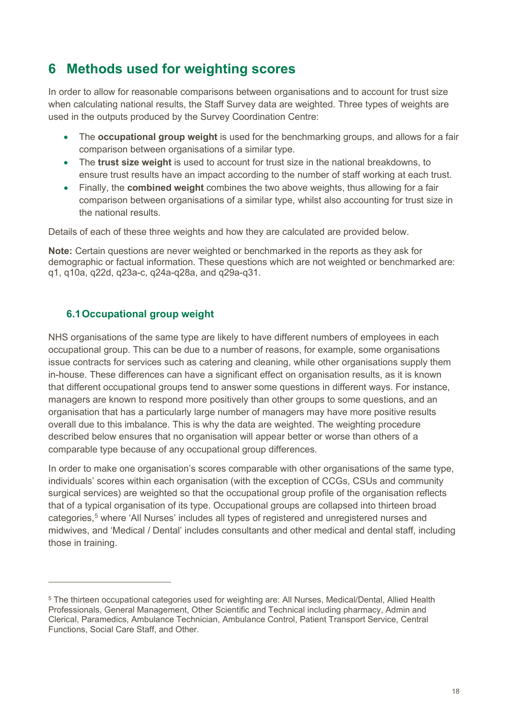## <span id="page-18-0"></span>**6 Methods used for weighting scores**

In order to allow for reasonable comparisons between organisations and to account for trust size when calculating national results, the Staff Survey data are weighted. Three types of weights are used in the outputs produced by the Survey Coordination Centre:

- The **occupational group weight** is used for the benchmarking groups, and allows for a fair comparison between organisations of a similar type.
- The **trust size weight** is used to account for trust size in the national breakdowns, to ensure trust results have an impact according to the number of staff working at each trust.
- Finally, the **combined weight** combines the two above weights, thus allowing for a fair comparison between organisations of a similar type, whilst also accounting for trust size in the national results.

Details of each of these three weights and how they are calculated are provided below.

**Note:** Certain questions are never weighted or benchmarked in the reports as they ask for demographic or factual information. These questions which are not weighted or benchmarked are: q1, q10a, q22d, q23a-c, q24a-q28a, and q29a-q31.

## <span id="page-18-1"></span>**6.1Occupational group weight**

NHS organisations of the same type are likely to have different numbers of employees in each occupational group. This can be due to a number of reasons, for example, some organisations issue contracts for services such as catering and cleaning, while other organisations supply them in-house. These differences can have a significant effect on organisation results, as it is known that different occupational groups tend to answer some questions in different ways. For instance, managers are known to respond more positively than other groups to some questions, and an organisation that has a particularly large number of managers may have more positive results overall due to this imbalance. This is why the data are weighted. The weighting procedure described below ensures that no organisation will appear better or worse than others of a comparable type because of any occupational group differences.

In order to make one organisation's scores comparable with other organisations of the same type, individuals' scores within each organisation (with the exception of CCGs, CSUs and community surgical services) are weighted so that the occupational group profile of the organisation reflects that of a typical organisation of its type. Occupational groups are collapsed into thirteen broad categories,<sup>[5](#page-18-2)</sup> where 'All Nurses' includes all types of registered and unregistered nurses and midwives, and 'Medical / Dental' includes consultants and other medical and dental staff, including those in training.

<span id="page-18-2"></span><sup>5</sup> The thirteen occupational categories used for weighting are: All Nurses, Medical/Dental, Allied Health Professionals, General Management, Other Scientific and Technical including pharmacy, Admin and Clerical, Paramedics, Ambulance Technician, Ambulance Control, Patient Transport Service, Central Functions, Social Care Staff, and Other.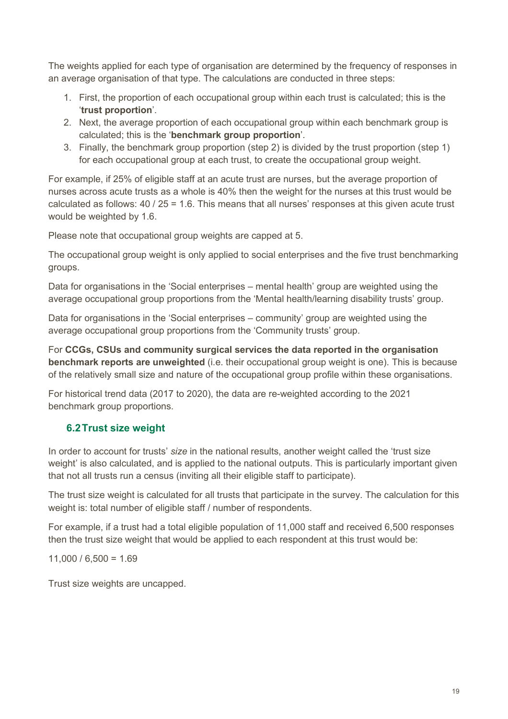The weights applied for each type of organisation are determined by the frequency of responses in an average organisation of that type. The calculations are conducted in three steps:

- 1. First, the proportion of each occupational group within each trust is calculated; this is the '**trust proportion**'.
- 2. Next, the average proportion of each occupational group within each benchmark group is calculated; this is the '**benchmark group proportion**'.
- 3. Finally, the benchmark group proportion (step 2) is divided by the trust proportion (step 1) for each occupational group at each trust, to create the occupational group weight.

For example, if 25% of eligible staff at an acute trust are nurses, but the average proportion of nurses across acute trusts as a whole is 40% then the weight for the nurses at this trust would be calculated as follows: 40 / 25 = 1.6. This means that all nurses' responses at this given acute trust would be weighted by 1.6.

Please note that occupational group weights are capped at 5.

The occupational group weight is only applied to social enterprises and the five trust benchmarking groups.

Data for organisations in the 'Social enterprises – mental health' group are weighted using the average occupational group proportions from the 'Mental health/learning disability trusts' group.

Data for organisations in the 'Social enterprises – community' group are weighted using the average occupational group proportions from the 'Community trusts' group.

For **CCGs, CSUs and community surgical services the data reported in the organisation benchmark reports are unweighted** (i.e. their occupational group weight is one). This is because of the relatively small size and nature of the occupational group profile within these organisations.

For historical trend data (2017 to 2020), the data are re-weighted according to the 2021 benchmark group proportions.

## <span id="page-19-0"></span>**6.2Trust size weight**

In order to account for trusts' *size* in the national results, another weight called the 'trust size weight' is also calculated, and is applied to the national outputs. This is particularly important given that not all trusts run a census (inviting all their eligible staff to participate).

The trust size weight is calculated for all trusts that participate in the survey. The calculation for this weight is: total number of eligible staff / number of respondents.

For example, if a trust had a total eligible population of 11,000 staff and received 6,500 responses then the trust size weight that would be applied to each respondent at this trust would be:

 $11,000 / 6,500 = 1.69$ 

Trust size weights are uncapped.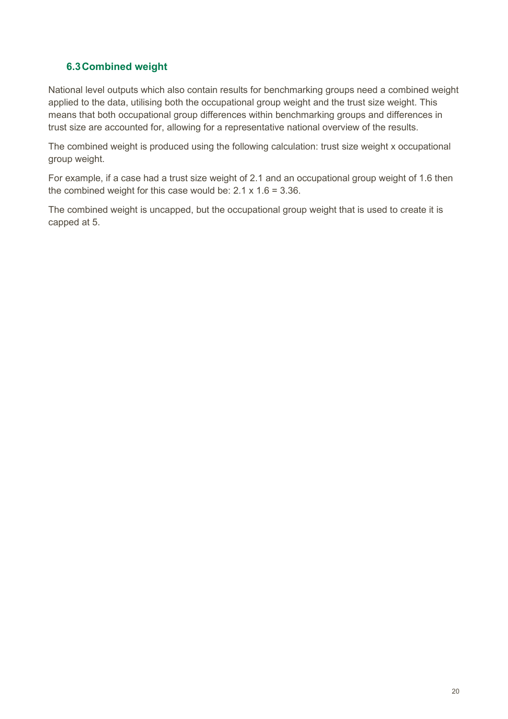## <span id="page-20-0"></span>**6.3Combined weight**

National level outputs which also contain results for benchmarking groups need a combined weight applied to the data, utilising both the occupational group weight and the trust size weight. This means that both occupational group differences within benchmarking groups and differences in trust size are accounted for, allowing for a representative national overview of the results.

The combined weight is produced using the following calculation: trust size weight x occupational group weight.

For example, if a case had a trust size weight of 2.1 and an occupational group weight of 1.6 then the combined weight for this case would be:  $2.1 \times 1.6 = 3.36$ .

The combined weight is uncapped, but the occupational group weight that is used to create it is capped at 5.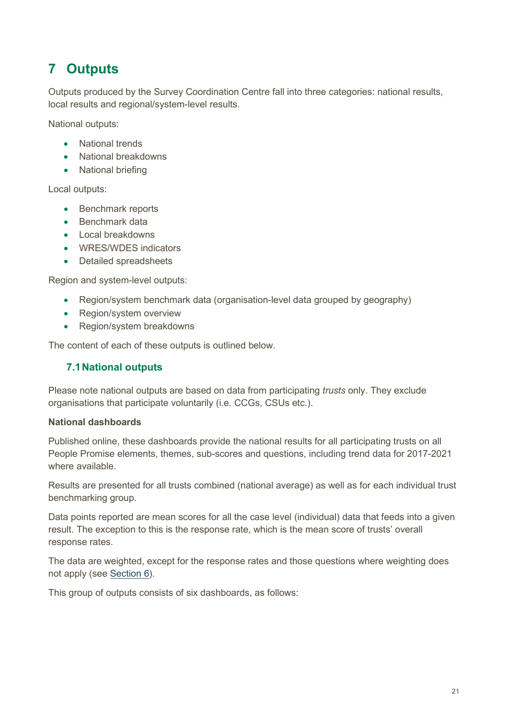## <span id="page-21-0"></span>**7 Outputs**

Outputs produced by the Survey Coordination Centre fall into three categories: national results, local results and regional/system-level results.

National outputs:

- National trends
- National breakdowns
- National briefing

Local outputs:

- Benchmark reports
- Benchmark data
- Local breakdowns
- WRES/WDES indicators
- Detailed spreadsheets

Region and system-level outputs:

- Region/system benchmark data (organisation-level data grouped by geography)
- Region/system overview
- Region/system breakdowns

<span id="page-21-1"></span>The content of each of these outputs is outlined below.

## **7.1National outputs**

Please note national outputs are based on data from participating *trusts* only. They exclude organisations that participate voluntarily (i.e. CCGs, CSUs etc.).

## **National dashboards**

Published online, these dashboards provide the national results for all participating trusts on all People Promise elements, themes, sub-scores and questions, including trend data for 2017-2021 where available.

Results are presented for all trusts combined (national average) as well as for each individual trust benchmarking group.

Data points reported are mean scores for all the case level (individual) data that feeds into a given result. The exception to this is the response rate, which is the mean score of trusts' overall response rates.

The data are weighted, except for the response rates and those questions where weighting does not apply (see [Section 6\)](#page-18-0).

This group of outputs consists of six dashboards, as follows: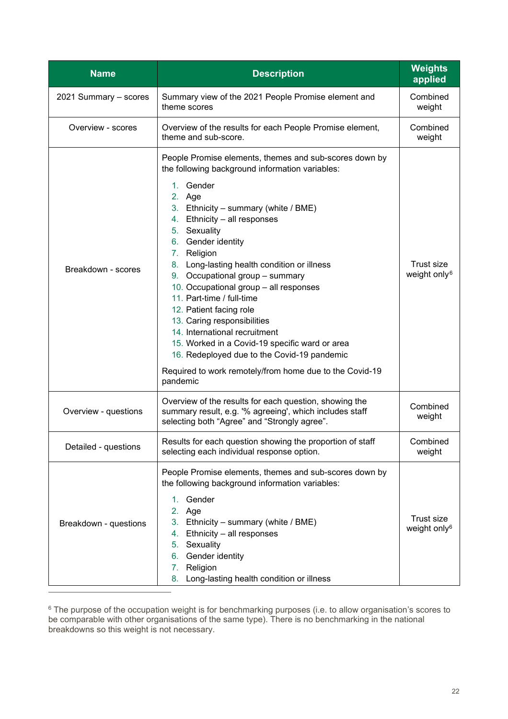<span id="page-22-0"></span>

| <b>Name</b>                                                                                                                                                                                                                                                                                                                                          | <b>Description</b>                                                                                                                                                                                                                                                                                                                                                                                                                                                                                                                                                                                                                                                                        | <b>Weights</b><br>applied                     |
|------------------------------------------------------------------------------------------------------------------------------------------------------------------------------------------------------------------------------------------------------------------------------------------------------------------------------------------------------|-------------------------------------------------------------------------------------------------------------------------------------------------------------------------------------------------------------------------------------------------------------------------------------------------------------------------------------------------------------------------------------------------------------------------------------------------------------------------------------------------------------------------------------------------------------------------------------------------------------------------------------------------------------------------------------------|-----------------------------------------------|
| 2021 Summary - scores                                                                                                                                                                                                                                                                                                                                | Summary view of the 2021 People Promise element and<br>theme scores                                                                                                                                                                                                                                                                                                                                                                                                                                                                                                                                                                                                                       | Combined<br>weight                            |
| Overview - scores                                                                                                                                                                                                                                                                                                                                    | Overview of the results for each People Promise element,<br>theme and sub-score.                                                                                                                                                                                                                                                                                                                                                                                                                                                                                                                                                                                                          | Combined<br>weight                            |
| Breakdown - scores                                                                                                                                                                                                                                                                                                                                   | People Promise elements, themes and sub-scores down by<br>the following background information variables:<br>1. Gender<br>2. Age<br>3. Ethnicity – summary (white / BME)<br>4. Ethnicity - all responses<br>5. Sexuality<br>6. Gender identity<br>7. Religion<br>8. Long-lasting health condition or illness<br>9. Occupational group - summary<br>10. Occupational group - all responses<br>11. Part-time / full-time<br>12. Patient facing role<br>13. Caring responsibilities<br>14. International recruitment<br>15. Worked in a Covid-19 specific ward or area<br>16. Redeployed due to the Covid-19 pandemic<br>Required to work remotely/from home due to the Covid-19<br>pandemic | Trust size<br>weight only <sup>6</sup>        |
| Overview - questions                                                                                                                                                                                                                                                                                                                                 | Overview of the results for each question, showing the<br>summary result, e.g. '% agreeing', which includes staff<br>selecting both "Agree" and "Strongly agree".                                                                                                                                                                                                                                                                                                                                                                                                                                                                                                                         | Combined<br>weight                            |
| Detailed - questions                                                                                                                                                                                                                                                                                                                                 | Results for each question showing the proportion of staff<br>selecting each individual response option.                                                                                                                                                                                                                                                                                                                                                                                                                                                                                                                                                                                   | Combined<br>weight                            |
| People Promise elements, themes and sub-scores down by<br>the following background information variables:<br>Gender<br>1.<br>2. Age<br>Ethnicity - summary (white / BME)<br>3.<br>Breakdown - questions<br>4. Ethnicity - all responses<br>5. Sexuality<br>Gender identity<br>6.<br>Religion<br>7.<br>Long-lasting health condition or illness<br>8. |                                                                                                                                                                                                                                                                                                                                                                                                                                                                                                                                                                                                                                                                                           | <b>Trust size</b><br>weight only <sup>6</sup> |

<span id="page-22-1"></span> $^6$  The purpose of the occupation weight is for benchmarking purposes (i.e. to allow organisation's scores to be comparable with other organisations of the same type). There is no benchmarking in the national breakdowns so this weight is not necessary.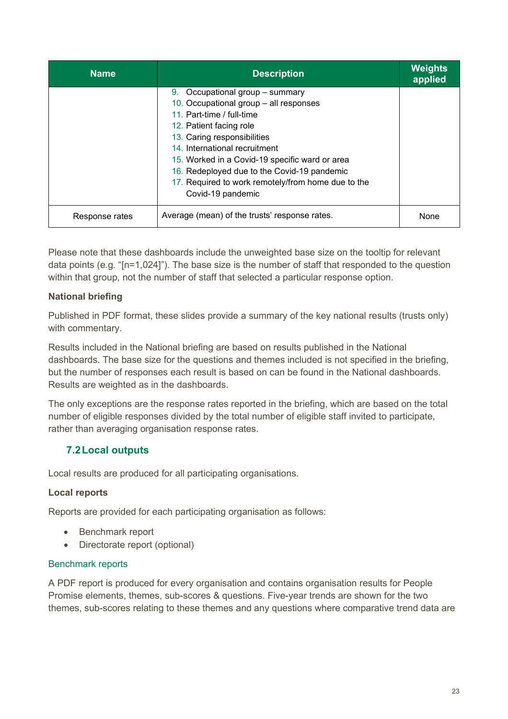| <b>Name</b>    | <b>Description</b>                                 | <b>Weights</b><br>applied |  |
|----------------|----------------------------------------------------|---------------------------|--|
|                | 9. Occupational group - summary                    |                           |  |
|                | 10. Occupational group - all responses             |                           |  |
|                | 11. Part-time / full-time                          |                           |  |
|                | 12. Patient facing role                            |                           |  |
|                | 13. Caring responsibilities                        |                           |  |
|                | 14. International recruitment                      |                           |  |
|                | 15. Worked in a Covid-19 specific ward or area     |                           |  |
|                | 16. Redeployed due to the Covid-19 pandemic        |                           |  |
|                | 17. Required to work remotely/from home due to the |                           |  |
|                | Covid-19 pandemic                                  |                           |  |
| Response rates | Average (mean) of the trusts' response rates.      | None                      |  |

Please note that these dashboards include the unweighted base size on the tooltip for relevant data points (e.g. "[n=1,024]"). The base size is the number of staff that responded to the question within that group, not the number of staff that selected a particular response option.

## **National briefing**

Published in PDF format, these slides provide a summary of the key national results (trusts only) with commentary.

Results included in the National briefing are based on results published in the National dashboards. The base size for the questions and themes included is not specified in the briefing, but the number of responses each result is based on can be found in the National dashboards. Results are weighted as in the dashboards.

The only exceptions are the response rates reported in the briefing, which are based on the total number of eligible responses divided by the total number of eligible staff invited to participate, rather than averaging organisation response rates.

## <span id="page-23-0"></span>**7.2Local outputs**

Local results are produced for all participating organisations.

## **Local reports**

Reports are provided for each participating organisation as follows:

- Benchmark report
- Directorate report (optional)

## Benchmark reports

A PDF report is produced for every organisation and contains organisation results for People Promise elements, themes, sub-scores & questions. Five-year trends are shown for the two themes, sub-scores relating to these themes and any questions where comparative trend data are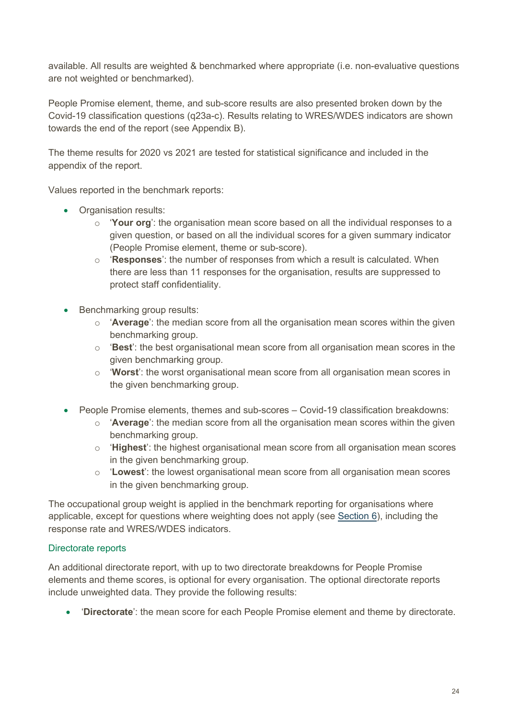available. All results are weighted & benchmarked where appropriate (i.e. non-evaluative questions are not weighted or benchmarked).

People Promise element, theme, and sub-score results are also presented broken down by the Covid-19 classification questions (q23a-c). Results relating to WRES/WDES indicators are shown towards the end of the report (see [Appendix B\)](#page-42-0).

The theme results for 2020 vs 2021 are tested for statistical significance and included in the appendix of the report.

Values reported in the benchmark reports:

- Organisation results:
	- o '**Your org**': the organisation mean score based on all the individual responses to a given question, or based on all the individual scores for a given summary indicator (People Promise element, theme or sub-score).
	- o '**Responses**': the number of responses from which a result is calculated. When there are less than 11 responses for the organisation, results are suppressed to protect staff confidentiality.
- Benchmarking group results:
	- o '**Average**': the median score from all the organisation mean scores within the given benchmarking group.
	- o '**Best**': the best organisational mean score from all organisation mean scores in the given benchmarking group.
	- o '**Worst**': the worst organisational mean score from all organisation mean scores in the given benchmarking group.
- People Promise elements, themes and sub-scores Covid-19 classification breakdowns:
	- o '**Average**': the median score from all the organisation mean scores within the given benchmarking group.
	- o '**Highest**': the highest organisational mean score from all organisation mean scores in the given benchmarking group.
	- o '**Lowest**': the lowest organisational mean score from all organisation mean scores in the given benchmarking group.

The occupational group weight is applied in the benchmark reporting for organisations where applicable, except for questions where weighting does not apply (see [Section 6\)](#page-18-0), including the response rate and WRES/WDES indicators.

## Directorate reports

An additional directorate report, with up to two directorate breakdowns for People Promise elements and theme scores, is optional for every organisation. The optional directorate reports include unweighted data. They provide the following results:

• '**Directorate**': the mean score for each People Promise element and theme by directorate.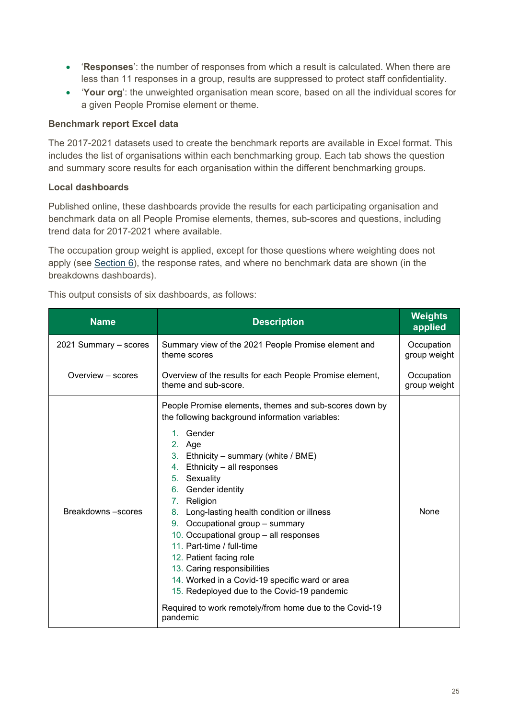- '**Responses**': the number of responses from which a result is calculated. When there are less than 11 responses in a group, results are suppressed to protect staff confidentiality.
- '**Your org**': the unweighted organisation mean score, based on all the individual scores for a given People Promise element or theme.

## **Benchmark report Excel data**

The 2017-2021 datasets used to create the benchmark reports are available in Excel format. This includes the list of organisations within each benchmarking group. Each tab shows the question and summary score results for each organisation within the different benchmarking groups.

## **Local dashboards**

Published online, these dashboards provide the results for each participating organisation and benchmark data on all People Promise elements, themes, sub-scores and questions, including trend data for 2017-2021 where available.

The occupation group weight is applied, except for those questions where weighting does not apply (see  $Section 6$ ), the response rates, and where no benchmark data are shown (in the breakdowns dashboards).

| This output consists of six dashboards, as follows: |  |
|-----------------------------------------------------|--|
|                                                     |  |

| <b>Name</b>           | <b>Description</b>                                                                                                                                                                                                                                                                                                                                                                                                                                                                                                                                                                                                                                          | <b>Weights</b><br>applied  |
|-----------------------|-------------------------------------------------------------------------------------------------------------------------------------------------------------------------------------------------------------------------------------------------------------------------------------------------------------------------------------------------------------------------------------------------------------------------------------------------------------------------------------------------------------------------------------------------------------------------------------------------------------------------------------------------------------|----------------------------|
| 2021 Summary - scores | Summary view of the 2021 People Promise element and<br>theme scores                                                                                                                                                                                                                                                                                                                                                                                                                                                                                                                                                                                         | Occupation<br>group weight |
| Overview – scores     | Overview of the results for each People Promise element,<br>theme and sub-score.                                                                                                                                                                                                                                                                                                                                                                                                                                                                                                                                                                            | Occupation<br>group weight |
| Breakdowns-scores     | People Promise elements, themes and sub-scores down by<br>the following background information variables:<br>Gender<br>2. Age<br>3. Ethnicity – summary (white / BME)<br>4. Ethnicity - all responses<br>5. Sexuality<br>Gender identity<br>6.<br>7. Religion<br>8. Long-lasting health condition or illness<br>Occupational group - summary<br>9.<br>10. Occupational group - all responses<br>11. Part-time / full-time<br>12. Patient facing role<br>13. Caring responsibilities<br>14. Worked in a Covid-19 specific ward or area<br>15. Redeployed due to the Covid-19 pandemic<br>Required to work remotely/from home due to the Covid-19<br>pandemic | None                       |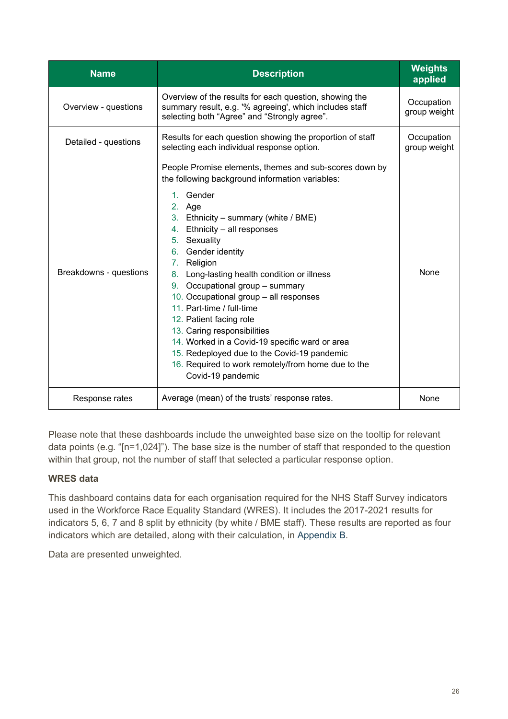| <b>Name</b>            | <b>Description</b>                                                                                                                                                                                                                                                                                                                                                                                                                                                                                                                                                                                                                                                          | <b>Weights</b><br>applied  |
|------------------------|-----------------------------------------------------------------------------------------------------------------------------------------------------------------------------------------------------------------------------------------------------------------------------------------------------------------------------------------------------------------------------------------------------------------------------------------------------------------------------------------------------------------------------------------------------------------------------------------------------------------------------------------------------------------------------|----------------------------|
| Overview - questions   | Overview of the results for each question, showing the<br>summary result, e.g. '% agreeing', which includes staff<br>selecting both "Agree" and "Strongly agree".                                                                                                                                                                                                                                                                                                                                                                                                                                                                                                           | Occupation<br>group weight |
| Detailed - questions   | Results for each question showing the proportion of staff<br>selecting each individual response option.                                                                                                                                                                                                                                                                                                                                                                                                                                                                                                                                                                     | Occupation<br>group weight |
| Breakdowns - questions | People Promise elements, themes and sub-scores down by<br>the following background information variables:<br>Gender<br>1 <sup>1</sup><br>2. Age<br>3. Ethnicity – summary (white / BME)<br>4. Ethnicity - all responses<br>5. Sexuality<br>6. Gender identity<br>7. Religion<br>8. Long-lasting health condition or illness<br>9. Occupational group - summary<br>10. Occupational group - all responses<br>11. Part-time / full-time<br>12. Patient facing role<br>13. Caring responsibilities<br>14. Worked in a Covid-19 specific ward or area<br>15. Redeployed due to the Covid-19 pandemic<br>16. Required to work remotely/from home due to the<br>Covid-19 pandemic | None                       |
| Response rates         | Average (mean) of the trusts' response rates.                                                                                                                                                                                                                                                                                                                                                                                                                                                                                                                                                                                                                               | None                       |

Please note that these dashboards include the unweighted base size on the tooltip for relevant data points (e.g. "[n=1,024]"). The base size is the number of staff that responded to the question within that group, not the number of staff that selected a particular response option.

## **WRES data**

This dashboard contains data for each organisation required for the NHS Staff Survey indicators used in the Workforce Race Equality Standard (WRES). It includes the 2017-2021 results for indicators 5, 6, 7 and 8 split by ethnicity (by white / BME staff). These results are reported as four indicators which are detailed, along with their calculation, in [Appendix B.](#page-42-0)

Data are presented unweighted.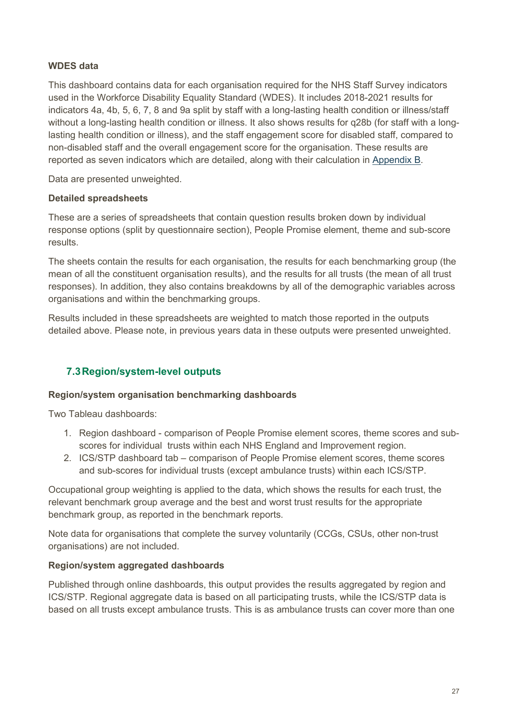## **WDES data**

This dashboard contains data for each organisation required for the NHS Staff Survey indicators used in the Workforce Disability Equality Standard (WDES). It includes 2018-2021 results for indicators 4a, 4b, 5, 6, 7, 8 and 9a split by staff with a long-lasting health condition or illness/staff without a long-lasting health condition or illness. It also shows results for q28b (for staff with a longlasting health condition or illness), and the staff engagement score for disabled staff, compared to non-disabled staff and the overall engagement score for the organisation. These results are reported as seven indicators which are detailed, along with their calculation in [Appendix B.](#page-42-0)

Data are presented unweighted.

## **Detailed spreadsheets**

These are a series of spreadsheets that contain question results broken down by individual response options (split by questionnaire section), People Promise element, theme and sub-score results.

The sheets contain the results for each organisation, the results for each benchmarking group (the mean of all the constituent organisation results), and the results for all trusts (the mean of all trust responses). In addition, they also contains breakdowns by all of the demographic variables across organisations and within the benchmarking groups.

Results included in these spreadsheets are weighted to match those reported in the outputs detailed above. Please note, in previous years data in these outputs were presented unweighted.

## <span id="page-27-0"></span>**7.3Region/system-level outputs**

## **Region/system organisation benchmarking dashboards**

Two Tableau dashboards:

- 1. Region dashboard comparison of People Promise element scores, theme scores and subscores for individual trusts within each NHS England and Improvement region.
- 2. ICS/STP dashboard tab comparison of People Promise element scores, theme scores and sub-scores for individual trusts (except ambulance trusts) within each ICS/STP.

Occupational group weighting is applied to the data, which shows the results for each trust, the relevant benchmark group average and the best and worst trust results for the appropriate benchmark group, as reported in the benchmark reports.

Note data for organisations that complete the survey voluntarily (CCGs, CSUs, other non-trust organisations) are not included.

## **Region/system aggregated dashboards**

Published through online dashboards, this output provides the results aggregated by region and ICS/STP. Regional aggregate data is based on all participating trusts, while the ICS/STP data is based on all trusts except ambulance trusts. This is as ambulance trusts can cover more than one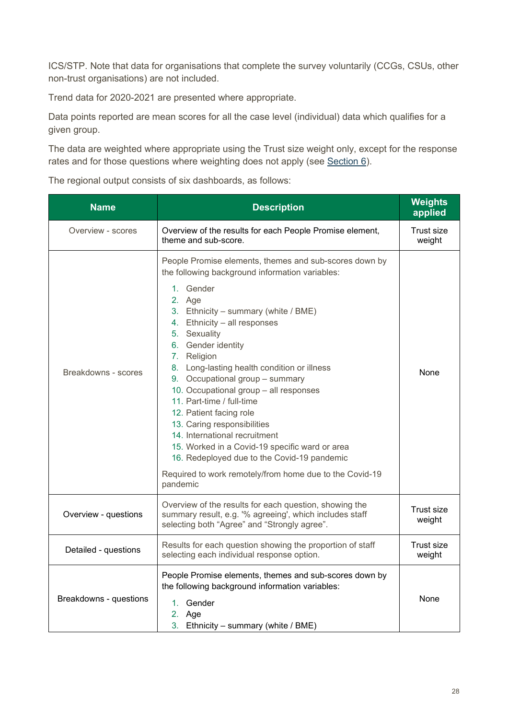ICS/STP. Note that data for organisations that complete the survey voluntarily (CCGs, CSUs, other non-trust organisations) are not included.

Trend data for 2020-2021 are presented where appropriate.

Data points reported are mean scores for all the case level (individual) data which qualifies for a given group.

The data are weighted where appropriate using the Trust size weight only, except for the response rates and for those questions where weighting does not apply (see [Section 6\)](#page-18-0).

The regional output consists of six dashboards, as follows:

| <b>Name</b>                                                                                                                     | <b>Description</b>                                                                                                                                                                                                                                                                                                                                                                                                                                                                                                                                                                                                                                                                        | <b>Weights</b><br>applied |
|---------------------------------------------------------------------------------------------------------------------------------|-------------------------------------------------------------------------------------------------------------------------------------------------------------------------------------------------------------------------------------------------------------------------------------------------------------------------------------------------------------------------------------------------------------------------------------------------------------------------------------------------------------------------------------------------------------------------------------------------------------------------------------------------------------------------------------------|---------------------------|
| Overview - scores                                                                                                               | Overview of the results for each People Promise element,<br>theme and sub-score.                                                                                                                                                                                                                                                                                                                                                                                                                                                                                                                                                                                                          | Trust size<br>weight      |
| Breakdowns - scores                                                                                                             | People Promise elements, themes and sub-scores down by<br>the following background information variables:<br>1. Gender<br>2. Age<br>3. Ethnicity – summary (white / BME)<br>4. Ethnicity - all responses<br>5. Sexuality<br>6. Gender identity<br>7. Religion<br>8. Long-lasting health condition or illness<br>9. Occupational group - summary<br>10. Occupational group - all responses<br>11. Part-time / full-time<br>12. Patient facing role<br>13. Caring responsibilities<br>14. International recruitment<br>15. Worked in a Covid-19 specific ward or area<br>16. Redeployed due to the Covid-19 pandemic<br>Required to work remotely/from home due to the Covid-19<br>pandemic | None                      |
| Overview - questions                                                                                                            | Overview of the results for each question, showing the<br>summary result, e.g. '% agreeing', which includes staff<br>selecting both "Agree" and "Strongly agree".                                                                                                                                                                                                                                                                                                                                                                                                                                                                                                                         | Trust size<br>weight      |
| Results for each question showing the proportion of staff<br>Detailed - questions<br>selecting each individual response option. |                                                                                                                                                                                                                                                                                                                                                                                                                                                                                                                                                                                                                                                                                           | Trust size<br>weight      |
| Breakdowns - questions                                                                                                          | People Promise elements, themes and sub-scores down by<br>the following background information variables:<br>1. Gender<br>2. Age<br>3. Ethnicity - summary (white / BME)                                                                                                                                                                                                                                                                                                                                                                                                                                                                                                                  | None                      |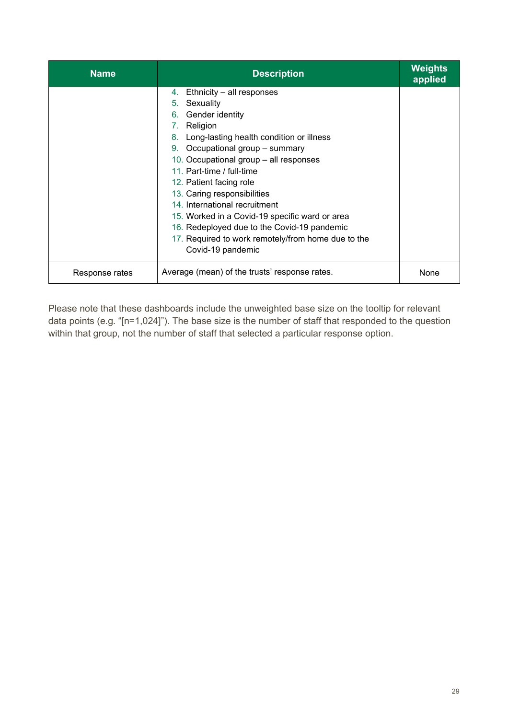| <b>Name</b>    | <b>Description</b>                                 | <b>Weights</b><br>applied |
|----------------|----------------------------------------------------|---------------------------|
|                | Ethnicity - all responses<br>4.                    |                           |
|                | Sexuality<br>5.                                    |                           |
|                | Gender identity<br>6.                              |                           |
|                | Religion<br>7.                                     |                           |
|                | Long-lasting health condition or illness<br>8.     |                           |
|                | Occupational group - summary<br>9.                 |                           |
|                | 10. Occupational group - all responses             |                           |
|                | 11. Part-time / full-time                          |                           |
|                | 12. Patient facing role                            |                           |
|                | 13. Caring responsibilities                        |                           |
|                | 14. International recruitment                      |                           |
|                | 15. Worked in a Covid-19 specific ward or area     |                           |
|                | 16. Redeployed due to the Covid-19 pandemic        |                           |
|                | 17. Required to work remotely/from home due to the |                           |
|                | Covid-19 pandemic                                  |                           |
| Response rates | Average (mean) of the trusts' response rates.      | None                      |

Please note that these dashboards include the unweighted base size on the tooltip for relevant data points (e.g. "[n=1,024]"). The base size is the number of staff that responded to the question within that group, not the number of staff that selected a particular response option.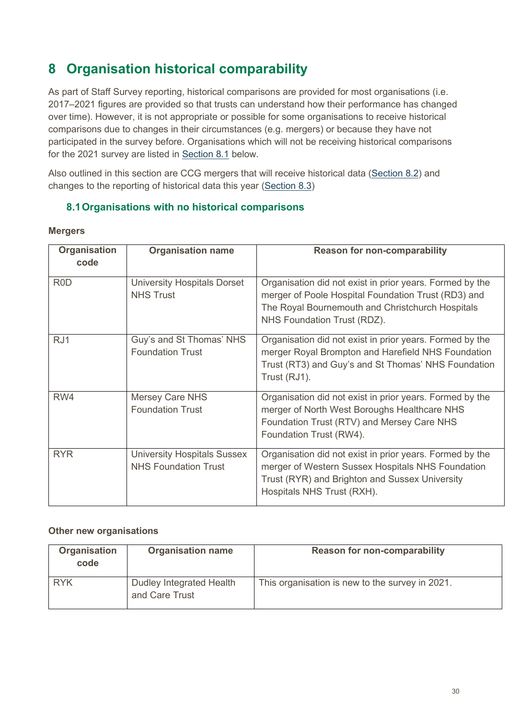## <span id="page-30-0"></span>**8 Organisation historical comparability**

As part of Staff Survey reporting, historical comparisons are provided for most organisations (i.e. 2017–2021 figures are provided so that trusts can understand how their performance has changed over time). However, it is not appropriate or possible for some organisations to receive historical comparisons due to changes in their circumstances (e.g. mergers) or because they have not participated in the survey before. Organisations which will not be receiving historical comparisons for the 2021 survey are listed in [Section 8.1](#page-30-2) below.

Also outlined in this section are CCG mergers that will receive historical data [\(Section 8.2\)](#page-32-0) and changes to the reporting of historical data this year [\(Section 8.3\)](#page-32-1)

## <span id="page-30-1"></span>**8.1Organisations with no historical comparisons**

| <b>Organisation</b><br>code | <b>Organisation name</b>                                          | <b>Reason for non-comparability</b>                                                                                                                                                                |
|-----------------------------|-------------------------------------------------------------------|----------------------------------------------------------------------------------------------------------------------------------------------------------------------------------------------------|
| R <sub>0</sub> D            | University Hospitals Dorset<br><b>NHS Trust</b>                   | Organisation did not exist in prior years. Formed by the<br>merger of Poole Hospital Foundation Trust (RD3) and<br>The Royal Bournemouth and Christchurch Hospitals<br>NHS Foundation Trust (RDZ). |
| RJ1                         | Guy's and St Thomas' NHS<br><b>Foundation Trust</b>               | Organisation did not exist in prior years. Formed by the<br>merger Royal Brompton and Harefield NHS Foundation<br>Trust (RT3) and Guy's and St Thomas' NHS Foundation<br>Trust (RJ1).              |
| RW4                         | <b>Mersey Care NHS</b><br><b>Foundation Trust</b>                 | Organisation did not exist in prior years. Formed by the<br>merger of North West Boroughs Healthcare NHS<br>Foundation Trust (RTV) and Mersey Care NHS<br>Foundation Trust (RW4).                  |
| <b>RYR</b>                  | <b>University Hospitals Sussex</b><br><b>NHS Foundation Trust</b> | Organisation did not exist in prior years. Formed by the<br>merger of Western Sussex Hospitals NHS Foundation<br>Trust (RYR) and Brighton and Sussex University<br>Hospitals NHS Trust (RXH).      |

## <span id="page-30-2"></span>**Mergers**

## **Other new organisations**

| Organisation<br>code | <b>Organisation name</b>                   | <b>Reason for non-comparability</b>             |
|----------------------|--------------------------------------------|-------------------------------------------------|
| <b>RYK</b>           | Dudley Integrated Health<br>and Care Trust | This organisation is new to the survey in 2021. |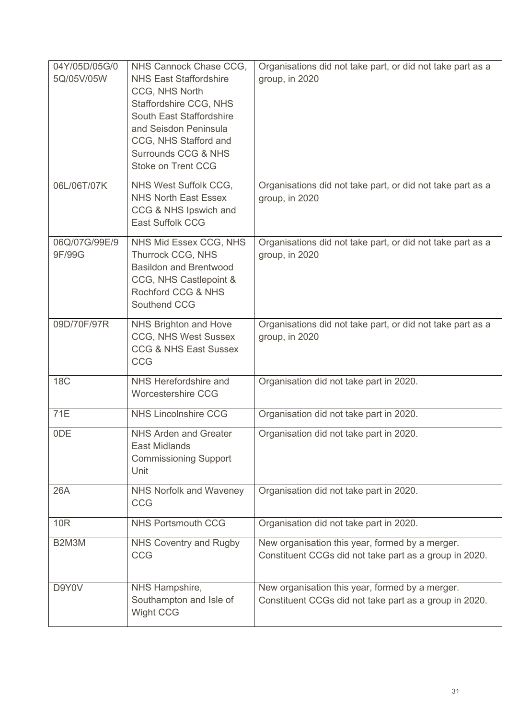| 04Y/05D/05G/0<br>5Q/05V/05W | NHS Cannock Chase CCG,<br><b>NHS East Staffordshire</b><br>CCG, NHS North<br>Staffordshire CCG, NHS<br>South East Staffordshire<br>and Seisdon Peninsula<br>CCG, NHS Stafford and<br><b>Surrounds CCG &amp; NHS</b><br>Stoke on Trent CCG | Organisations did not take part, or did not take part as a<br>group, in 2020                              |
|-----------------------------|-------------------------------------------------------------------------------------------------------------------------------------------------------------------------------------------------------------------------------------------|-----------------------------------------------------------------------------------------------------------|
| 06L/06T/07K                 | NHS West Suffolk CCG,<br><b>NHS North East Essex</b><br>CCG & NHS Ipswich and<br><b>East Suffolk CCG</b>                                                                                                                                  | Organisations did not take part, or did not take part as a<br>group, in 2020                              |
| 06Q/07G/99E/9<br>9F/99G     | NHS Mid Essex CCG, NHS<br><b>Thurrock CCG, NHS</b><br><b>Basildon and Brentwood</b><br>CCG, NHS Castlepoint &<br>Rochford CCG & NHS<br>Southend CCG                                                                                       | Organisations did not take part, or did not take part as a<br>group, in 2020                              |
| 09D/70F/97R                 | NHS Brighton and Hove<br><b>CCG, NHS West Sussex</b><br><b>CCG &amp; NHS East Sussex</b><br><b>CCG</b>                                                                                                                                    | Organisations did not take part, or did not take part as a<br>group, in 2020                              |
| <b>18C</b>                  | NHS Herefordshire and<br>Worcestershire CCG                                                                                                                                                                                               | Organisation did not take part in 2020.                                                                   |
| 71E                         | <b>NHS Lincolnshire CCG</b>                                                                                                                                                                                                               | Organisation did not take part in 2020.                                                                   |
| 0DE                         | <b>NHS Arden and Greater</b><br><b>East Midlands</b><br><b>Commissioning Support</b><br>Unit                                                                                                                                              | Organisation did not take part in 2020.                                                                   |
| 26A                         | NHS Norfolk and Waveney<br><b>CCG</b>                                                                                                                                                                                                     | Organisation did not take part in 2020.                                                                   |
| <b>10R</b>                  | <b>NHS Portsmouth CCG</b>                                                                                                                                                                                                                 | Organisation did not take part in 2020.                                                                   |
| B2M3M                       | <b>NHS Coventry and Rugby</b><br><b>CCG</b>                                                                                                                                                                                               | New organisation this year, formed by a merger.<br>Constituent CCGs did not take part as a group in 2020. |
| D9Y0V                       | NHS Hampshire,<br>Southampton and Isle of<br>Wight CCG                                                                                                                                                                                    | New organisation this year, formed by a merger.<br>Constituent CCGs did not take part as a group in 2020. |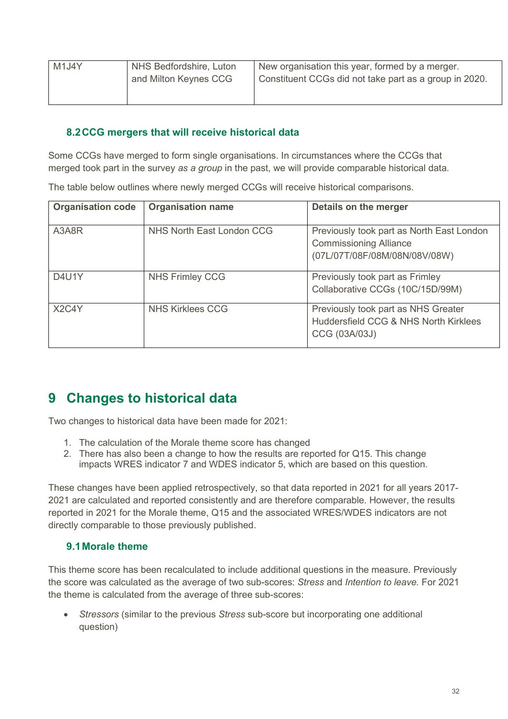| M1J4Y | NHS Bedfordshire, Luton | New organisation this year, formed by a merger.        |
|-------|-------------------------|--------------------------------------------------------|
|       | and Milton Keynes CCG   | Constituent CCGs did not take part as a group in 2020. |
|       |                         |                                                        |

## <span id="page-32-0"></span>**8.2CCG mergers that will receive historical data**

Some CCGs have merged to form single organisations. In circumstances where the CCGs that merged took part in the survey *as a group* in the past, we will provide comparable historical data.

The table below outlines where newly merged CCGs will receive historical comparisons.

| <b>Organisation code</b>        | <b>Organisation name</b>  | Details on the merger                                                                                       |
|---------------------------------|---------------------------|-------------------------------------------------------------------------------------------------------------|
| A3A8R                           | NHS North East London CCG | Previously took part as North East London<br><b>Commissioning Alliance</b><br>(07L/07T/08F/08M/08N/08V/08W) |
| D4U1Y                           | <b>NHS Frimley CCG</b>    | Previously took part as Frimley<br>Collaborative CCGs (10C/15D/99M)                                         |
| X <sub>2</sub> C <sub>4</sub> Y | <b>NHS Kirklees CCG</b>   | Previously took part as NHS Greater<br>Huddersfield CCG & NHS North Kirklees<br>CCG (03A/03J)               |

## <span id="page-32-1"></span>**9 Changes to historical data**

Two changes to historical data have been made for 2021:

- 1. The calculation of the Morale theme score has changed
- 2. There has also been a change to how the results are reported for Q15. This change impacts WRES indicator 7 and WDES indicator 5, which are based on this question.

These changes have been applied retrospectively, so that data reported in 2021 for all years 2017- 2021 are calculated and reported consistently and are therefore comparable. However, the results reported in 2021 for the Morale theme, Q15 and the associated WRES/WDES indicators are not directly comparable to those previously published.

## <span id="page-32-2"></span>**9.1Morale theme**

This theme score has been recalculated to include additional questions in the measure. Previously the score was calculated as the average of two sub-scores: *Stress* and *Intention to leave.* For 2021 the theme is calculated from the average of three sub-scores:

• *Stressors* (similar to the previous *Stress* sub-score but incorporating one additional question)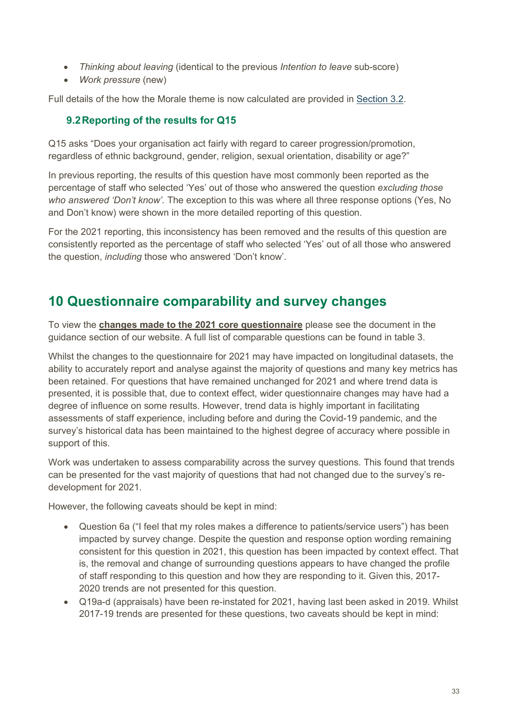- *Thinking about leaving* (identical to the previous *Intention to leave* sub-score)
- *Work pressure* (new)

<span id="page-33-0"></span>Full details of the how the Morale theme is now calculated are provided in [Section 3.2.](#page-8-0)

## **9.2Reporting of the results for Q15**

Q15 asks "Does your organisation act fairly with regard to career progression/promotion, regardless of ethnic background, gender, religion, sexual orientation, disability or age?"

In previous reporting, the results of this question have most commonly been reported as the percentage of staff who selected 'Yes' out of those who answered the question *excluding those who answered 'Don't know'.* The exception to this was where all three response options (Yes, No and Don't know) were shown in the more detailed reporting of this question.

For the 2021 reporting, this inconsistency has been removed and the results of this question are consistently reported as the percentage of staff who selected 'Yes' out of all those who answered the question, *including* those who answered 'Don't know'.

## <span id="page-33-1"></span>**10 Questionnaire comparability and survey changes**

To view the **[changes made to the 2021](https://www.nhsstaffsurveys.com/Caches/Files/ST20_Changes%20to%20the%202020%20core%20questionnaire.pdf) core questionnaire** please see the document in the guidance section of our website. A full list of comparable questions can be found in table 3.

Whilst the changes to the questionnaire for 2021 may have impacted on longitudinal datasets, the ability to accurately report and analyse against the majority of questions and many key metrics has been retained. For questions that have remained unchanged for 2021 and where trend data is presented, it is possible that, due to context effect, wider questionnaire changes may have had a degree of influence on some results. However, trend data is highly important in facilitating assessments of staff experience, including before and during the Covid-19 pandemic, and the survey's historical data has been maintained to the highest degree of accuracy where possible in support of this.

Work was undertaken to assess comparability across the survey questions. This found that trends can be presented for the vast majority of questions that had not changed due to the survey's redevelopment for 2021.

However, the following caveats should be kept in mind:

- Question 6a ("I feel that my roles makes a difference to patients/service users") has been impacted by survey change. Despite the question and response option wording remaining consistent for this question in 2021, this question has been impacted by context effect. That is, the removal and change of surrounding questions appears to have changed the profile of staff responding to this question and how they are responding to it. Given this, 2017- 2020 trends are not presented for this question.
- Q19a-d (appraisals) have been re-instated for 2021, having last been asked in 2019. Whilst 2017-19 trends are presented for these questions, two caveats should be kept in mind: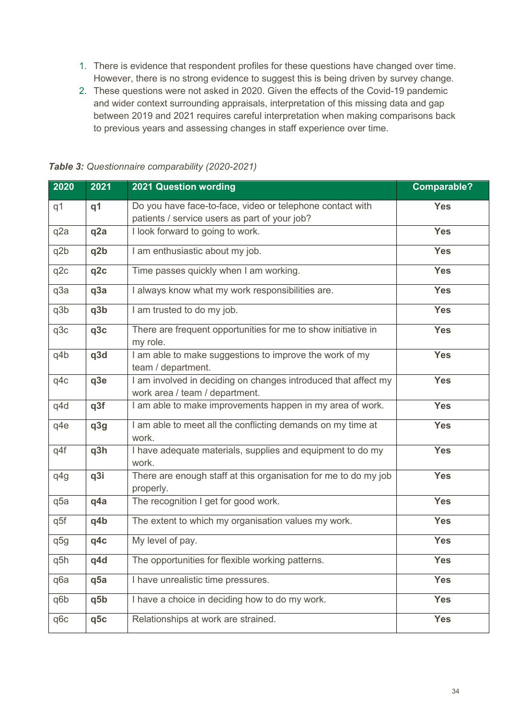- 1. There is evidence that respondent profiles for these questions have changed over time. However, there is no strong evidence to suggest this is being driven by survey change.
- 2. These questions were not asked in 2020. Given the effects of the Covid-19 pandemic and wider context surrounding appraisals, interpretation of this missing data and gap between 2019 and 2021 requires careful interpretation when making comparisons back to previous years and assessing changes in staff experience over time.

| 2020            | 2021            | <b>2021 Question wording</b>                                                                               | <b>Comparable?</b> |
|-----------------|-----------------|------------------------------------------------------------------------------------------------------------|--------------------|
| q1              | q1              | Do you have face-to-face, video or telephone contact with<br>patients / service users as part of your job? | <b>Yes</b>         |
| q2a             | q2a             | I look forward to going to work.                                                                           | <b>Yes</b>         |
| q2b             | q2b             | I am enthusiastic about my job.                                                                            | <b>Yes</b>         |
| q <sub>2c</sub> | q <sub>2c</sub> | Time passes quickly when I am working.                                                                     | <b>Yes</b>         |
| q3a             | q3a             | I always know what my work responsibilities are.                                                           | <b>Yes</b>         |
| q3b             | q3b             | I am trusted to do my job.                                                                                 | <b>Yes</b>         |
| q3c             | q3c             | There are frequent opportunities for me to show initiative in<br>my role.                                  | <b>Yes</b>         |
| q4b             | q3d             | I am able to make suggestions to improve the work of my<br>team / department.                              | <b>Yes</b>         |
| q4c             | q3e             | I am involved in deciding on changes introduced that affect my<br>work area / team / department.           | <b>Yes</b>         |
| q4d             | q3f             | I am able to make improvements happen in my area of work.                                                  | <b>Yes</b>         |
| q4e             | q3g             | I am able to meet all the conflicting demands on my time at<br>work.                                       | <b>Yes</b>         |
| q4f             | q3h             | I have adequate materials, supplies and equipment to do my<br>work.                                        | <b>Yes</b>         |
| q4g             | q3i             | There are enough staff at this organisation for me to do my job<br>properly.                               | <b>Yes</b>         |
| q5a             | q4a             | The recognition I get for good work.                                                                       | <b>Yes</b>         |
| q5f             | q4b             | The extent to which my organisation values my work.                                                        | <b>Yes</b>         |
| q5g             | q4c             | My level of pay.                                                                                           | <b>Yes</b>         |
| q5h             | q4d             | The opportunities for flexible working patterns.                                                           | <b>Yes</b>         |
| q6a             | q5a             | I have unrealistic time pressures.                                                                         | <b>Yes</b>         |
| q6b             | q5b             | I have a choice in deciding how to do my work.                                                             | <b>Yes</b>         |
| q6c             | q5c             | Relationships at work are strained.                                                                        | <b>Yes</b>         |

*Table 3: Questionnaire comparability (2020-2021)*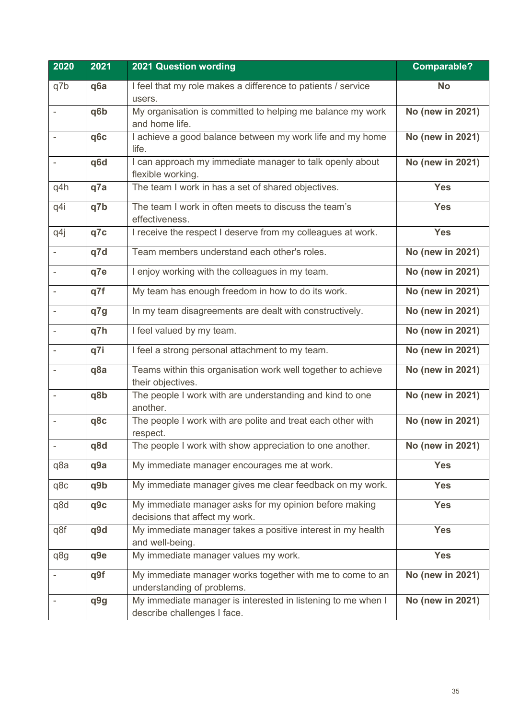| 2020                     | 2021 | <b>2021 Question wording</b>                                                                | <b>Comparable?</b>      |
|--------------------------|------|---------------------------------------------------------------------------------------------|-------------------------|
| q7b                      | q6a  | I feel that my role makes a difference to patients / service<br>users.                      | <b>No</b>               |
|                          | q6b  | My organisation is committed to helping me balance my work<br>and home life.                | No (new in 2021)        |
|                          | q6c  | I achieve a good balance between my work life and my home<br>life.                          | No (new in 2021)        |
|                          | q6d  | I can approach my immediate manager to talk openly about<br>flexible working.               | No (new in 2021)        |
| q4h                      | q7a  | The team I work in has a set of shared objectives.                                          | <b>Yes</b>              |
| q4i                      | q7b  | The team I work in often meets to discuss the team's<br>effectiveness.                      | <b>Yes</b>              |
| q4j                      | q7c  | I receive the respect I deserve from my colleagues at work.                                 | <b>Yes</b>              |
|                          | q7d  | Team members understand each other's roles.                                                 | <b>No (new in 2021)</b> |
|                          | q7e  | I enjoy working with the colleagues in my team.                                             | No (new in 2021)        |
| $\overline{\phantom{a}}$ | q7f  | My team has enough freedom in how to do its work.                                           | No (new in 2021)        |
|                          | q7g  | In my team disagreements are dealt with constructively.                                     | No (new in 2021)        |
|                          | q7h  | I feel valued by my team.                                                                   | No (new in 2021)        |
|                          | q7i  | I feel a strong personal attachment to my team.                                             | No (new in 2021)        |
|                          | q8a  | Teams within this organisation work well together to achieve<br>their objectives.           | No (new in 2021)        |
| $\bar{a}$                | q8b  | The people I work with are understanding and kind to one<br>another.                        | No (new in 2021)        |
|                          | q8c  | The people I work with are polite and treat each other with<br>respect.                     | No (new in 2021)        |
|                          | q8d  | The people I work with show appreciation to one another.                                    | No (new in 2021)        |
| q8a                      | q9a  | My immediate manager encourages me at work.                                                 | <b>Yes</b>              |
| q8c                      | q9b  | My immediate manager gives me clear feedback on my work.                                    | <b>Yes</b>              |
| q8d                      | q9c  | My immediate manager asks for my opinion before making<br>decisions that affect my work.    | <b>Yes</b>              |
| q8f                      | q9d  | My immediate manager takes a positive interest in my health<br>and well-being.              | <b>Yes</b>              |
| q8g                      | q9e  | My immediate manager values my work.                                                        | <b>Yes</b>              |
|                          | q9f  | My immediate manager works together with me to come to an<br>understanding of problems.     | No (new in 2021)        |
|                          | q9g  | My immediate manager is interested in listening to me when I<br>describe challenges I face. | No (new in 2021)        |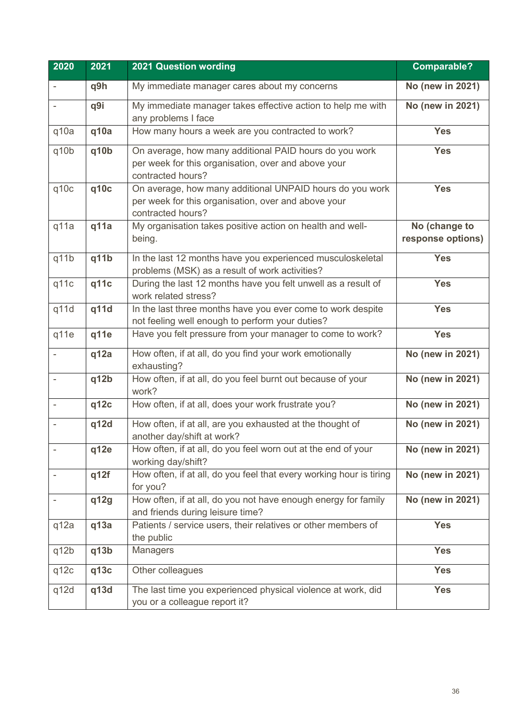| 2020                     | 2021 | <b>2021 Question wording</b>                                                                                                         | <b>Comparable?</b>                 |
|--------------------------|------|--------------------------------------------------------------------------------------------------------------------------------------|------------------------------------|
| $\overline{\phantom{a}}$ | q9h  | My immediate manager cares about my concerns                                                                                         | No (new in 2021)                   |
| ä,                       | q9i  | My immediate manager takes effective action to help me with<br>any problems I face                                                   | No (new in 2021)                   |
| q10a                     | q10a | How many hours a week are you contracted to work?                                                                                    | <b>Yes</b>                         |
| q10b                     | q10b | On average, how many additional PAID hours do you work<br>per week for this organisation, over and above your<br>contracted hours?   | <b>Yes</b>                         |
| q10c                     | q10c | On average, how many additional UNPAID hours do you work<br>per week for this organisation, over and above your<br>contracted hours? | <b>Yes</b>                         |
| q11a                     | q11a | My organisation takes positive action on health and well-<br>being.                                                                  | No (change to<br>response options) |
| q11b                     | q11b | In the last 12 months have you experienced musculoskeletal<br>problems (MSK) as a result of work activities?                         | <b>Yes</b>                         |
| q11c                     | q11c | During the last 12 months have you felt unwell as a result of<br>work related stress?                                                | <b>Yes</b>                         |
| q11d                     | q11d | In the last three months have you ever come to work despite<br>not feeling well enough to perform your duties?                       | <b>Yes</b>                         |
| q11e                     | q11e | Have you felt pressure from your manager to come to work?                                                                            | <b>Yes</b>                         |
|                          | q12a | How often, if at all, do you find your work emotionally<br>exhausting?                                                               | No (new in 2021)                   |
|                          | q12b | How often, if at all, do you feel burnt out because of your<br>work?                                                                 | No (new in 2021)                   |
|                          | q12c | How often, if at all, does your work frustrate you?                                                                                  | No (new in 2021)                   |
| $\overline{\phantom{a}}$ | q12d | How often, if at all, are you exhausted at the thought of<br>another day/shift at work?                                              | No (new in 2021)                   |
| ÷,                       | q12e | How often, if at all, do you feel worn out at the end of your<br>working day/shift?                                                  | No (new in 2021)                   |
| ٠                        | q12f | How often, if at all, do you feel that every working hour is tiring<br>for you?                                                      | No (new in 2021)                   |
| $\overline{\phantom{a}}$ | q12g | How often, if at all, do you not have enough energy for family<br>and friends during leisure time?                                   | No (new in 2021)                   |
| q12a                     | q13a | Patients / service users, their relatives or other members of<br>the public                                                          | <b>Yes</b>                         |
| q12b                     | q13b | <b>Managers</b>                                                                                                                      | <b>Yes</b>                         |
| q12c                     | q13c | Other colleagues                                                                                                                     | <b>Yes</b>                         |
| q12d                     | q13d | The last time you experienced physical violence at work, did<br>you or a colleague report it?                                        | <b>Yes</b>                         |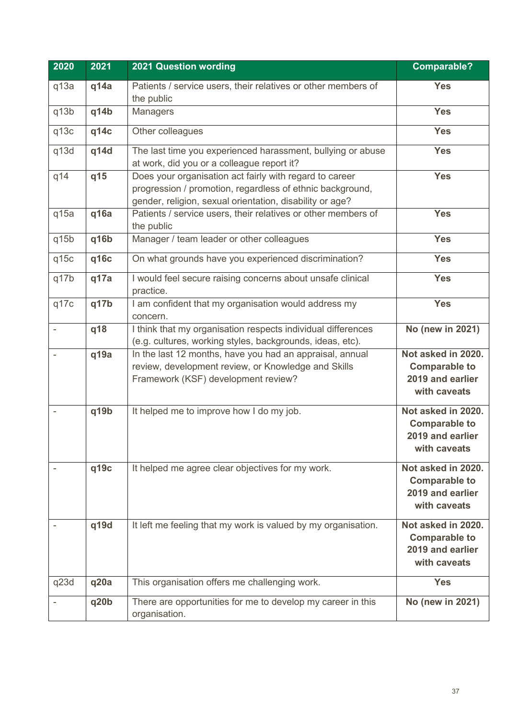| 2020 | 2021 | <b>2021 Question wording</b>                                                                                                                                                     | <b>Comparable?</b>                                                             |
|------|------|----------------------------------------------------------------------------------------------------------------------------------------------------------------------------------|--------------------------------------------------------------------------------|
| q13a | q14a | Patients / service users, their relatives or other members of<br>the public                                                                                                      | <b>Yes</b>                                                                     |
| q13b | q14b | <b>Managers</b>                                                                                                                                                                  | <b>Yes</b>                                                                     |
| q13c | q14c | Other colleagues                                                                                                                                                                 | <b>Yes</b>                                                                     |
| q13d | q14d | The last time you experienced harassment, bullying or abuse<br>at work, did you or a colleague report it?                                                                        | <b>Yes</b>                                                                     |
| q14  | q15  | Does your organisation act fairly with regard to career<br>progression / promotion, regardless of ethnic background,<br>gender, religion, sexual orientation, disability or age? | <b>Yes</b>                                                                     |
| q15a | q16a | Patients / service users, their relatives or other members of<br>the public                                                                                                      | <b>Yes</b>                                                                     |
| q15b | q16b | Manager / team leader or other colleagues                                                                                                                                        | <b>Yes</b>                                                                     |
| q15c | q16c | On what grounds have you experienced discrimination?                                                                                                                             | <b>Yes</b>                                                                     |
| q17b | q17a | I would feel secure raising concerns about unsafe clinical<br>practice.                                                                                                          | <b>Yes</b>                                                                     |
| q17c | q17b | I am confident that my organisation would address my<br>concern.                                                                                                                 | <b>Yes</b>                                                                     |
| ÷,   | q18  | I think that my organisation respects individual differences<br>(e.g. cultures, working styles, backgrounds, ideas, etc).                                                        | No (new in 2021)                                                               |
|      | q19a | In the last 12 months, have you had an appraisal, annual<br>review, development review, or Knowledge and Skills<br>Framework (KSF) development review?                           | Not asked in 2020.<br><b>Comparable to</b><br>2019 and earlier<br>with caveats |
|      | q19b | It helped me to improve how I do my job.                                                                                                                                         | Not asked in 2020.<br><b>Comparable to</b><br>2019 and earlier<br>with caveats |
|      | q19c | It helped me agree clear objectives for my work.                                                                                                                                 | Not asked in 2020.<br><b>Comparable to</b><br>2019 and earlier<br>with caveats |
|      | q19d | It left me feeling that my work is valued by my organisation.                                                                                                                    | Not asked in 2020.<br><b>Comparable to</b><br>2019 and earlier<br>with caveats |
| q23d | q20a | This organisation offers me challenging work.                                                                                                                                    | <b>Yes</b>                                                                     |
|      | q20b | There are opportunities for me to develop my career in this<br>organisation.                                                                                                     | No (new in 2021)                                                               |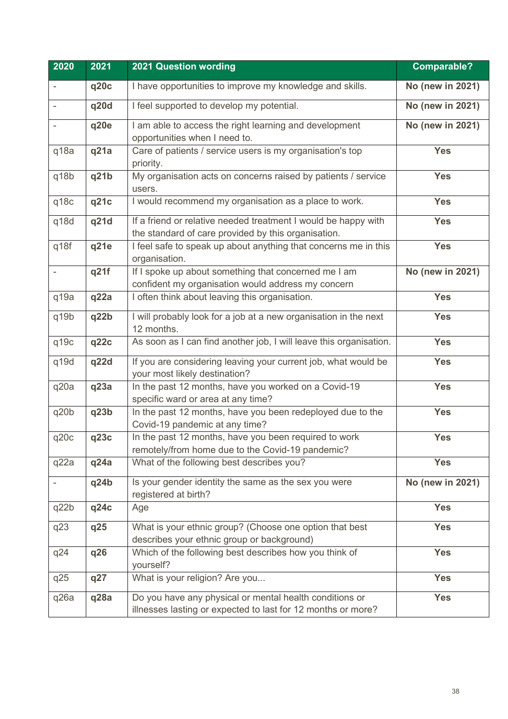| 2020                     | 2021 | <b>2021 Question wording</b>                                                                                            | <b>Comparable?</b> |
|--------------------------|------|-------------------------------------------------------------------------------------------------------------------------|--------------------|
| $\overline{a}$           | q20c | I have opportunities to improve my knowledge and skills.                                                                | No (new in 2021)   |
| $\overline{\phantom{a}}$ | q20d | I feel supported to develop my potential.                                                                               | No (new in 2021)   |
| $\bar{ }$                | q20e | I am able to access the right learning and development<br>opportunities when I need to.                                 | No (new in 2021)   |
| q18a                     | q21a | Care of patients / service users is my organisation's top<br>priority.                                                  | <b>Yes</b>         |
| q18b                     | q21b | My organisation acts on concerns raised by patients / service<br>users.                                                 | <b>Yes</b>         |
| q18c                     | q21c | I would recommend my organisation as a place to work.                                                                   | <b>Yes</b>         |
| q18d                     | q21d | If a friend or relative needed treatment I would be happy with<br>the standard of care provided by this organisation.   | <b>Yes</b>         |
| q18f                     | q21e | I feel safe to speak up about anything that concerns me in this<br>organisation.                                        | <b>Yes</b>         |
| $\overline{\phantom{a}}$ | q21f | If I spoke up about something that concerned me I am<br>confident my organisation would address my concern              | No (new in 2021)   |
| q19a                     | q22a | I often think about leaving this organisation.                                                                          | <b>Yes</b>         |
| q19b                     | q22b | I will probably look for a job at a new organisation in the next<br>12 months.                                          | <b>Yes</b>         |
| q19c                     | q22c | As soon as I can find another job, I will leave this organisation.                                                      | <b>Yes</b>         |
| q19d                     | q22d | If you are considering leaving your current job, what would be<br>your most likely destination?                         | <b>Yes</b>         |
| q20a                     | q23a | In the past 12 months, have you worked on a Covid-19<br>specific ward or area at any time?                              | <b>Yes</b>         |
| q20b                     | q23b | In the past 12 months, have you been redeployed due to the<br>Covid-19 pandemic at any time?                            | <b>Yes</b>         |
| q20c                     | q23c | In the past 12 months, have you been required to work<br>remotely/from home due to the Covid-19 pandemic?               | <b>Yes</b>         |
| q22a                     | q24a | What of the following best describes you?                                                                               | <b>Yes</b>         |
|                          | q24b | Is your gender identity the same as the sex you were<br>registered at birth?                                            | No (new in 2021)   |
| q22b                     | q24c | Age                                                                                                                     | <b>Yes</b>         |
| q23                      | q25  | What is your ethnic group? (Choose one option that best<br>describes your ethnic group or background)                   | <b>Yes</b>         |
| q24                      | q26  | Which of the following best describes how you think of<br>yourself?                                                     | <b>Yes</b>         |
| q25                      | q27  | What is your religion? Are you                                                                                          | <b>Yes</b>         |
| q26a                     | q28a | Do you have any physical or mental health conditions or<br>illnesses lasting or expected to last for 12 months or more? | <b>Yes</b>         |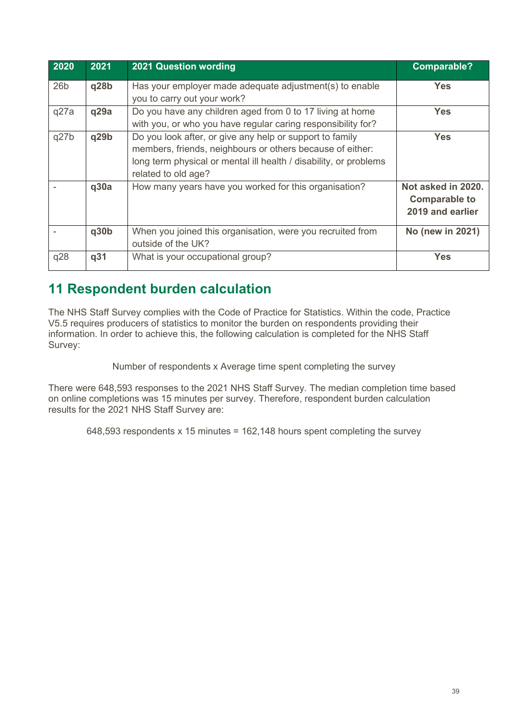| 2020            | 2021 | <b>2021 Question wording</b>                                                                                                                                                                                      | <b>Comparable?</b>                                             |
|-----------------|------|-------------------------------------------------------------------------------------------------------------------------------------------------------------------------------------------------------------------|----------------------------------------------------------------|
| 26 <sub>b</sub> | q28b | Has your employer made adequate adjustment(s) to enable<br>you to carry out your work?                                                                                                                            | <b>Yes</b>                                                     |
| q27a            | q29a | Do you have any children aged from 0 to 17 living at home<br>with you, or who you have regular caring responsibility for?                                                                                         | <b>Yes</b>                                                     |
| q27b            | q29b | Do you look after, or give any help or support to family<br>members, friends, neighbours or others because of either:<br>long term physical or mental ill health / disability, or problems<br>related to old age? | <b>Yes</b>                                                     |
|                 | q30a | How many years have you worked for this organisation?                                                                                                                                                             | Not asked in 2020.<br><b>Comparable to</b><br>2019 and earlier |
|                 | q30b | When you joined this organisation, were you recruited from<br>outside of the UK?                                                                                                                                  | No (new in 2021)                                               |
| q28             | q31  | What is your occupational group?                                                                                                                                                                                  | <b>Yes</b>                                                     |

## <span id="page-39-0"></span>**11 Respondent burden calculation**

The NHS Staff Survey complies with the Code of Practice for Statistics. Within the code, Practice V5.5 requires producers of statistics to monitor the burden on respondents providing their information. In order to achieve this, the following calculation is completed for the NHS Staff Survey:

Number of respondents x Average time spent completing the survey

There were 648,593 responses to the 2021 NHS Staff Survey. The median completion time based on online completions was 15 minutes per survey. Therefore, respondent burden calculation results for the 2021 NHS Staff Survey are:

648,593 respondents x 15 minutes = 162,148 hours spent completing the survey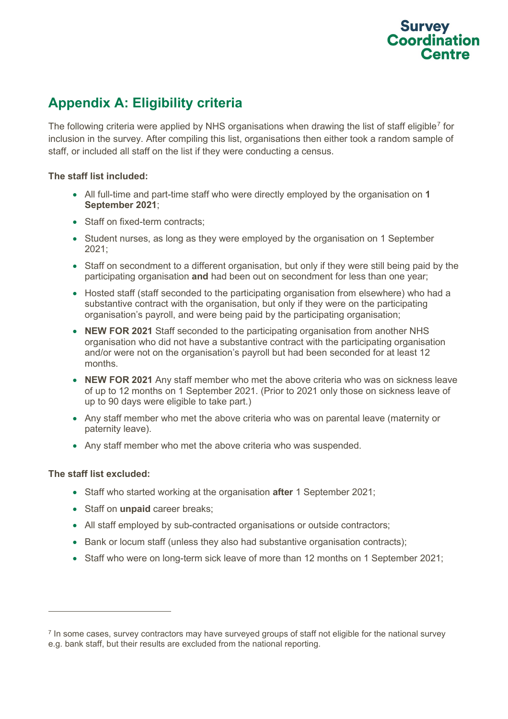## **Survey** Coordinat **Centre**

## <span id="page-40-0"></span>**Appendix A: Eligibility criteria**

The following criteria were applied by NHS organisations when drawing the list of staff eligible<sup>[7](#page-40-1)</sup> for inclusion in the survey. After compiling this list, organisations then either took a random sample of staff, or included all staff on the list if they were conducting a census.

## **The staff list included:**

- All full-time and part-time staff who were directly employed by the organisation on **1 September 2021**;
- Staff on fixed-term contracts:
- Student nurses, as long as they were employed by the organisation on 1 September 2021;
- Staff on secondment to a different organisation, but only if they were still being paid by the participating organisation **and** had been out on secondment for less than one year;
- Hosted staff (staff seconded to the participating organisation from elsewhere) who had a substantive contract with the organisation, but only if they were on the participating organisation's payroll, and were being paid by the participating organisation;
- **NEW FOR 2021** Staff seconded to the participating organisation from another NHS organisation who did not have a substantive contract with the participating organisation and/or were not on the organisation's payroll but had been seconded for at least 12 months.
- **NEW FOR 2021** Any staff member who met the above criteria who was on sickness leave of up to 12 months on 1 September 2021. (Prior to 2021 only those on sickness leave of up to 90 days were eligible to take part.)
- Any staff member who met the above criteria who was on parental leave (maternity or paternity leave).
- Any staff member who met the above criteria who was suspended.

## **The staff list excluded:**

- Staff who started working at the organisation **after** 1 September 2021;
- Staff on **unpaid** career breaks;
- All staff employed by sub-contracted organisations or outside contractors;
- Bank or locum staff (unless they also had substantive organisation contracts);
- Staff who were on long-term sick leave of more than 12 months on 1 September 2021;

<span id="page-40-1"></span> $<sup>7</sup>$  In some cases, survey contractors may have surveyed groups of staff not eligible for the national survey</sup> e.g. bank staff, but their results are excluded from the national reporting.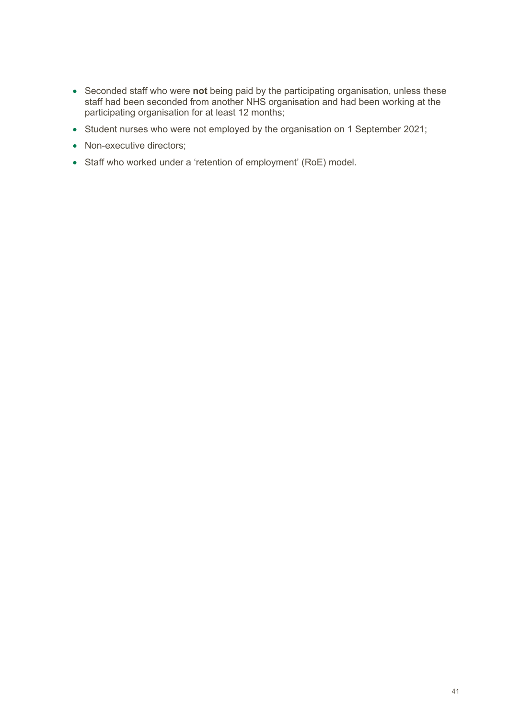- Seconded staff who were **not** being paid by the participating organisation, unless these staff had been seconded from another NHS organisation and had been working at the participating organisation for at least 12 months;
- Student nurses who were not employed by the organisation on 1 September 2021;
- Non-executive directors;
- Staff who worked under a 'retention of employment' (RoE) model.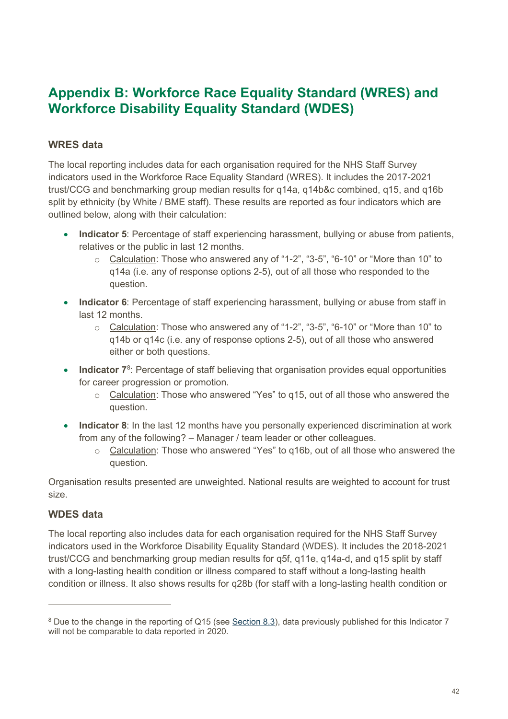## <span id="page-42-0"></span>**Appendix B: Workforce Race Equality Standard (WRES) and Workforce Disability Equality Standard (WDES)**

## <span id="page-42-1"></span>**WRES data**

The local reporting includes data for each organisation required for the NHS Staff Survey indicators used in the Workforce Race Equality Standard (WRES). It includes the 2017-2021 trust/CCG and benchmarking group median results for q14a, q14b&c combined, q15, and q16b split by ethnicity (by White / BME staff). These results are reported as four indicators which are outlined below, along with their calculation:

- **Indicator 5**: Percentage of staff experiencing harassment, bullying or abuse from patients, relatives or the public in last 12 months.
	- o Calculation: Those who answered any of "1-2", "3-5", "6-10" or "More than 10" to q14a (i.e. any of response options 2-5), out of all those who responded to the question.
- **Indicator 6**: Percentage of staff experiencing harassment, bullying or abuse from staff in last 12 months.
	- o Calculation: Those who answered any of "1-2", "3-5", "6-10" or "More than 10" to q14b or q14c (i.e. any of response options 2-5), out of all those who answered either or both questions.
- Indicator 7<sup>[8](#page-42-3)</sup>: Percentage of staff believing that organisation provides equal opportunities for career progression or promotion.
	- $\circ$  Calculation: Those who answered "Yes" to q15, out of all those who answered the question.
- **Indicator 8**: In the last 12 months have you personally experienced discrimination at work from any of the following? – Manager / team leader or other colleagues.
	- o Calculation: Those who answered "Yes" to q16b, out of all those who answered the question.

Organisation results presented are unweighted. National results are weighted to account for trust size.

## <span id="page-42-2"></span>**WDES data**

The local reporting also includes data for each organisation required for the NHS Staff Survey indicators used in the Workforce Disability Equality Standard (WDES). It includes the 2018-2021 trust/CCG and benchmarking group median results for q5f, q11e, q14a-d, and q15 split by staff with a long-lasting health condition or illness compared to staff without a long-lasting health condition or illness. It also shows results for q28b (for staff with a long-lasting health condition or

<span id="page-42-3"></span><sup>&</sup>lt;sup>8</sup> Due to the change in the reporting of Q15 (see [Section 8.3\)](#page-32-1), data previously published for this Indicator 7 will not be comparable to data reported in 2020.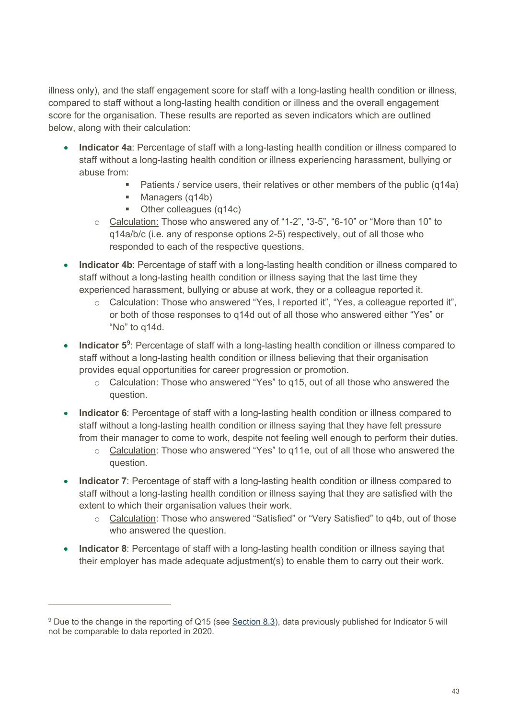illness only), and the staff engagement score for staff with a long-lasting health condition or illness, compared to staff without a long-lasting health condition or illness and the overall engagement score for the organisation. These results are reported as seven indicators which are outlined below, along with their calculation:

- **Indicator 4a**: Percentage of staff with a long-lasting health condition or illness compared to staff without a long-lasting health condition or illness experiencing harassment, bullying or abuse from:
	- **Patients / service users, their relatives or other members of the public (q14a)**
	- **Managers (q14b)**
	- **•** Other colleagues (q14c)
	- o Calculation: Those who answered any of "1-2", "3-5", "6-10" or "More than 10" to q14a/b/c (i.e. any of response options 2-5) respectively, out of all those who responded to each of the respective questions.
- **Indicator 4b**: Percentage of staff with a long-lasting health condition or illness compared to staff without a long-lasting health condition or illness saying that the last time they experienced harassment, bullying or abuse at work, they or a colleague reported it.
	- o Calculation: Those who answered "Yes, I reported it", "Yes, a colleague reported it", or both of those responses to q14d out of all those who answered either "Yes" or "No" to q14d.
- Indicator 5<sup>[9](#page-43-0)</sup>: Percentage of staff with a long-lasting health condition or illness compared to staff without a long-lasting health condition or illness believing that their organisation provides equal opportunities for career progression or promotion.
	- o Calculation: Those who answered "Yes" to q15, out of all those who answered the question.
- **Indicator 6**: Percentage of staff with a long-lasting health condition or illness compared to staff without a long-lasting health condition or illness saying that they have felt pressure from their manager to come to work, despite not feeling well enough to perform their duties.
	- o Calculation: Those who answered "Yes" to q11e, out of all those who answered the question.
- **Indicator 7**: Percentage of staff with a long-lasting health condition or illness compared to staff without a long-lasting health condition or illness saying that they are satisfied with the extent to which their organisation values their work.
	- o Calculation: Those who answered "Satisfied" or "Very Satisfied" to q4b, out of those who answered the question.
- **Indicator 8**: Percentage of staff with a long-lasting health condition or illness saying that their employer has made adequate adjustment(s) to enable them to carry out their work.

<span id="page-43-0"></span><sup>9</sup> Due to the change in the reporting of Q15 (see [Section 8.3\)](#page-32-1), data previously published for Indicator 5 will not be comparable to data reported in 2020.